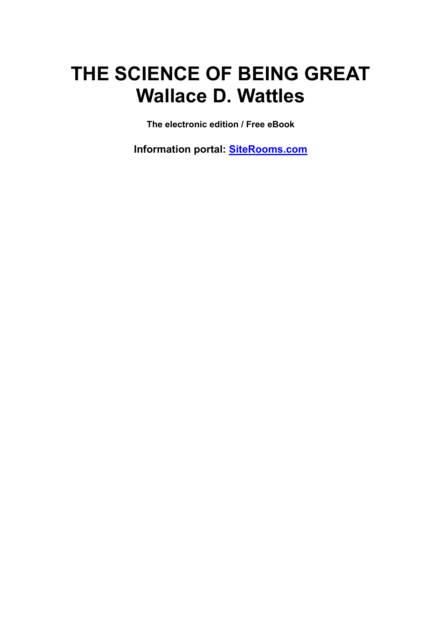# THE SCIENCE OF BEING GREAT Wallace D. Wattles

The electronic edition / Free eBook

Information portal[: SiteRooms.com](http://siterooms.com/?the-science-of-being-great)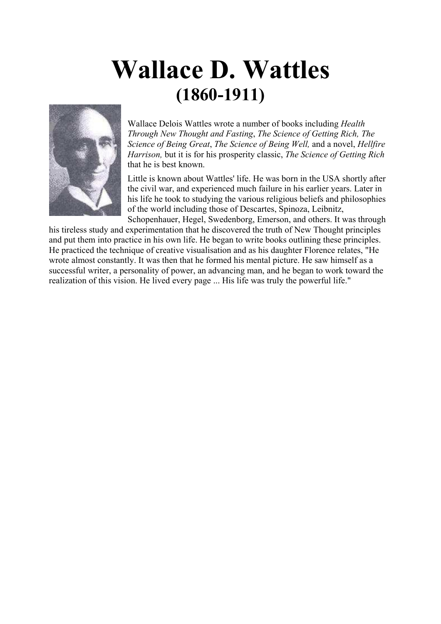# Wallace D. Wattles (1860-1911)



Wallace Delois Wattles wrote a number of books including Health Through New Thought and Fasting, The Science of Getting Rich, The Science of Being Great, The Science of Being Well, and a novel, Hellfire Harrison, but it is for his prosperity classic, The Science of Getting Rich that he is best known.

Little is known about Wattles' life. He was born in the USA shortly after the civil war, and experienced much failure in his earlier years. Later in his life he took to studying the various religious beliefs and philosophies of the world including those of Descartes, Spinoza, Leibnitz, Schopenhauer, Hegel, Swedenborg, Emerson, and others. It was through

his tireless study and experimentation that he discovered the truth of New Thought principles and put them into practice in his own life. He began to write books outlining these principles. He practiced the technique of creative visualisation and as his daughter Florence relates, "He wrote almost constantly. It was then that he formed his mental picture. He saw himself as a successful writer, a personality of power, an advancing man, and he began to work toward the realization of this vision. He lived every page ... His life was truly the powerful life."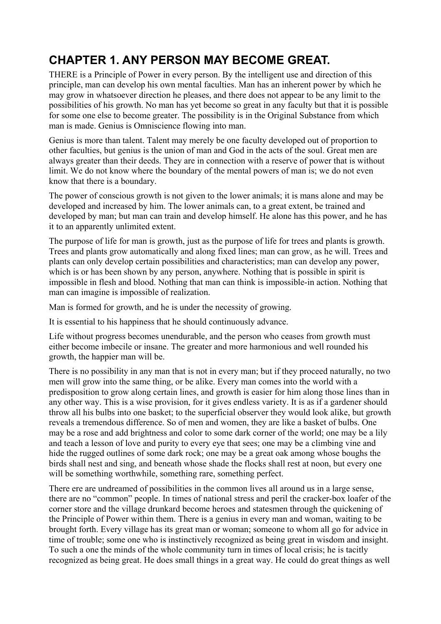#### CHAPTER 1. ANY PERSON MAY BECOME GREAT.

THERE is a Principle of Power in every person. By the intelligent use and direction of this principle, man can develop his own mental faculties. Man has an inherent power by which he may grow in whatsoever direction he pleases, and there does not appear to be any limit to the possibilities of his growth. No man has yet become so great in any faculty but that it is possible for some one else to become greater. The possibility is in the Original Substance from which man is made. Genius is Omniscience flowing into man.

Genius is more than talent. Talent may merely be one faculty developed out of proportion to other faculties, but genius is the union of man and God in the acts of the soul. Great men are always greater than their deeds. They are in connection with a reserve of power that is without limit. We do not know where the boundary of the mental powers of man is; we do not even know that there is a boundary.

The power of conscious growth is not given to the lower animals; it is mans alone and may be developed and increased by him. The lower animals can, to a great extent, be trained and developed by man; but man can train and develop himself. He alone has this power, and he has it to an apparently unlimited extent.

The purpose of life for man is growth, just as the purpose of life for trees and plants is growth. Trees and plants grow automatically and along fixed lines; man can grow, as he will. Trees and plants can only develop certain possibilities and characteristics; man can develop any power, which is or has been shown by any person, anywhere. Nothing that is possible in spirit is impossible in flesh and blood. Nothing that man can think is impossible-in action. Nothing that man can imagine is impossible of realization.

Man is formed for growth, and he is under the necessity of growing.

It is essential to his happiness that he should continuously advance.

Life without progress becomes unendurable, and the person who ceases from growth must either become imbecile or insane. The greater and more harmonious and well rounded his growth, the happier man will be.

There is no possibility in any man that is not in every man; but if they proceed naturally, no two men will grow into the same thing, or be alike. Every man comes into the world with a predisposition to grow along certain lines, and growth is easier for him along those lines than in any other way. This is a wise provision, for it gives endless variety. It is as if a gardener should throw all his bulbs into one basket; to the superficial observer they would look alike, but growth reveals a tremendous difference. So of men and women, they are like a basket of bulbs. One may be a rose and add brightness and color to some dark corner of the world; one may be a lily and teach a lesson of love and purity to every eye that sees; one may be a climbing vine and hide the rugged outlines of some dark rock; one may be a great oak among whose boughs the birds shall nest and sing, and beneath whose shade the flocks shall rest at noon, but every one will be something worthwhile, something rare, something perfect.

There ere are undreamed of possibilities in the common lives all around us in a large sense, there are no "common" people. In times of national stress and peril the cracker-box loafer of the corner store and the village drunkard become heroes and statesmen through the quickening of the Principle of Power within them. There is a genius in every man and woman, waiting to be brought forth. Every village has its great man or woman; someone to whom all go for advice in time of trouble; some one who is instinctively recognized as being great in wisdom and insight. To such a one the minds of the whole community turn in times of local crisis; he is tacitly recognized as being great. He does small things in a great way. He could do great things as well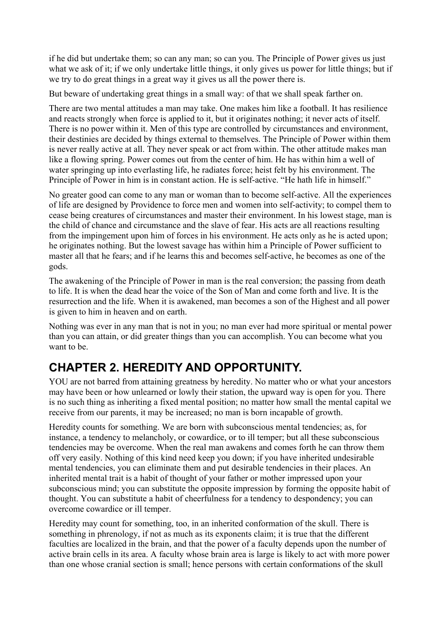if he did but undertake them; so can any man; so can you. The Principle of Power gives us just what we ask of it; if we only undertake little things, it only gives us power for little things; but if we try to do great things in a great way it gives us all the power there is.

But beware of undertaking great things in a small way: of that we shall speak farther on.

There are two mental attitudes a man may take. One makes him like a football. It has resilience and reacts strongly when force is applied to it, but it originates nothing; it never acts of itself. There is no power within it. Men of this type are controlled by circumstances and environment, their destinies are decided by things external to themselves. The Principle of Power within them is never really active at all. They never speak or act from within. The other attitude makes man like a flowing spring. Power comes out from the center of him. He has within him a well of water springing up into everlasting life, he radiates force; heist felt by his environment. The Principle of Power in him is in constant action. He is self-active. "He hath life in himself."

No greater good can come to any man or woman than to become self-active. All the experiences of life are designed by Providence to force men and women into self-activity; to compel them to cease being creatures of circumstances and master their environment. In his lowest stage, man is the child of chance and circumstance and the slave of fear. His acts are all reactions resulting from the impingement upon him of forces in his environment. He acts only as he is acted upon; he originates nothing. But the lowest savage has within him a Principle of Power sufficient to master all that he fears; and if he learns this and becomes self-active, he becomes as one of the gods.

The awakening of the Principle of Power in man is the real conversion; the passing from death to life. It is when the dead hear the voice of the Son of Man and come forth and live. It is the resurrection and the life. When it is awakened, man becomes a son of the Highest and all power is given to him in heaven and on earth.

Nothing was ever in any man that is not in you; no man ever had more spiritual or mental power than you can attain, or did greater things than you can accomplish. You can become what you want to be.

## CHAPTER 2. HEREDITY AND OPPORTUNITY.

YOU are not barred from attaining greatness by heredity. No matter who or what your ancestors may have been or how unlearned or lowly their station, the upward way is open for you. There is no such thing as inheriting a fixed mental position; no matter how small the mental capital we receive from our parents, it may be increased; no man is born incapable of growth.

Heredity counts for something. We are born with subconscious mental tendencies; as, for instance, a tendency to melancholy, or cowardice, or to ill temper; but all these subconscious tendencies may be overcome. When the real man awakens and comes forth he can throw them off very easily. Nothing of this kind need keep you down; if you have inherited undesirable mental tendencies, you can eliminate them and put desirable tendencies in their places. An inherited mental trait is a habit of thought of your father or mother impressed upon your subconscious mind; you can substitute the opposite impression by forming the opposite habit of thought. You can substitute a habit of cheerfulness for a tendency to despondency; you can overcome cowardice or ill temper.

Heredity may count for something, too, in an inherited conformation of the skull. There is something in phrenology, if not as much as its exponents claim; it is true that the different faculties are localized in the brain, and that the power of a faculty depends upon the number of active brain cells in its area. A faculty whose brain area is large is likely to act with more power than one whose cranial section is small; hence persons with certain conformations of the skull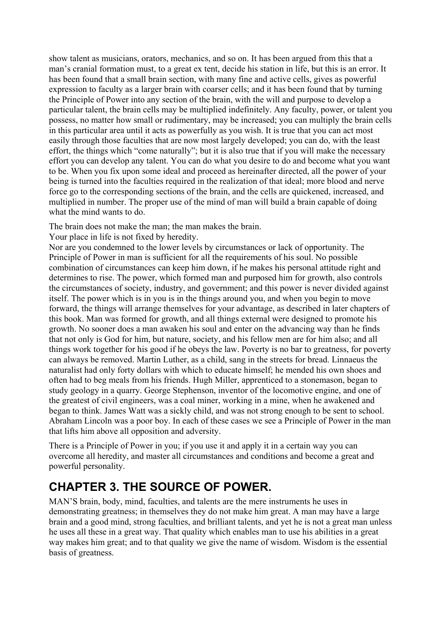show talent as musicians, orators, mechanics, and so on. It has been argued from this that a man's cranial formation must, to a great ex tent, decide his station in life, but this is an error. It has been found that a small brain section, with many fine and active cells, gives as powerful expression to faculty as a larger brain with coarser cells; and it has been found that by turning the Principle of Power into any section of the brain, with the will and purpose to develop a particular talent, the brain cells may be multiplied indefinitely. Any faculty, power, or talent you possess, no matter how small or rudimentary, may be increased; you can multiply the brain cells in this particular area until it acts as powerfully as you wish. It is true that you can act most easily through those faculties that are now most largely developed; you can do, with the least effort, the things which "come naturally"; but it is also true that if you will make the necessary effort you can develop any talent. You can do what you desire to do and become what you want to be. When you fix upon some ideal and proceed as hereinafter directed, all the power of your being is turned into the faculties required in the realization of that ideal; more blood and nerve force go to the corresponding sections of the brain, and the cells are quickened, increased, and multiplied in number. The proper use of the mind of man will build a brain capable of doing what the mind wants to do.

The brain does not make the man; the man makes the brain.

Your place in life is not fixed by heredity.

Nor are you condemned to the lower levels by circumstances or lack of opportunity. The Principle of Power in man is sufficient for all the requirements of his soul. No possible combination of circumstances can keep him down, if he makes his personal attitude right and determines to rise. The power, which formed man and purposed him for growth, also controls the circumstances of society, industry, and government; and this power is never divided against itself. The power which is in you is in the things around you, and when you begin to move forward, the things will arrange themselves for your advantage, as described in later chapters of this book. Man was formed for growth, and all things external were designed to promote his growth. No sooner does a man awaken his soul and enter on the advancing way than he finds that not only is God for him, but nature, society, and his fellow men are for him also; and all things work together for his good if he obeys the law. Poverty is no bar to greatness, for poverty can always be removed. Martin Luther, as a child, sang in the streets for bread. Linnaeus the naturalist had only forty dollars with which to educate himself; he mended his own shoes and often had to beg meals from his friends. Hugh Miller, apprenticed to a stonemason, began to study geology in a quarry. George Stephenson, inventor of the locomotive engine, and one of the greatest of civil engineers, was a coal miner, working in a mine, when he awakened and began to think. James Watt was a sickly child, and was not strong enough to be sent to school. Abraham Lincoln was a poor boy. In each of these cases we see a Principle of Power in the man that lifts him above all opposition and adversity.

There is a Principle of Power in you; if you use it and apply it in a certain way you can overcome all heredity, and master all circumstances and conditions and become a great and powerful personality.

#### CHAPTER 3. THE SOURCE OF POWER.

MAN'S brain, body, mind, faculties, and talents are the mere instruments he uses in demonstrating greatness; in themselves they do not make him great. A man may have a large brain and a good mind, strong faculties, and brilliant talents, and yet he is not a great man unless he uses all these in a great way. That quality which enables man to use his abilities in a great way makes him great; and to that quality we give the name of wisdom. Wisdom is the essential basis of greatness.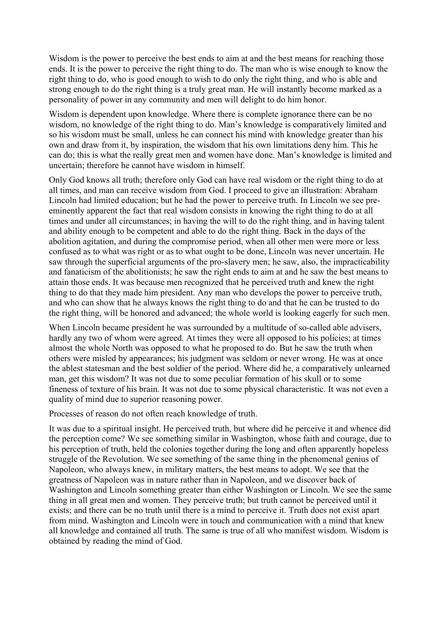Wisdom is the power to perceive the best ends to aim at and the best means for reaching those ends. It is the power to perceive the right thing to do. The man who is wise enough to know the right thing to do, who is good enough to wish to do only the right thing, and who is able and strong enough to do the right thing is a truly great man. He will instantly become marked as a personality of power in any community and men will delight to do him honor.

Wisdom is dependent upon knowledge. Where there is complete ignorance there can be no wisdom, no knowledge of the right thing to do. Man's knowledge is comparatively limited and so his wisdom must be small, unless he can connect his mind with knowledge greater than his own and draw from it, by inspiration, the wisdom that his own limitations deny him. This he can do; this is what the really great men and women have done. Man's knowledge is limited and uncertain; therefore he cannot have wisdom in himself.

Only God knows all truth; therefore only God can have real wisdom or the right thing to do at all times, and man can receive wisdom from God. I proceed to give an illustration: Abraham Lincoln had limited education; but he had the power to perceive truth. In Lincoln we see preeminently apparent the fact that real wisdom consists in knowing the right thing to do at all times and under all circumstances; in having the will to do the right thing, and in having talent and ability enough to be competent and able to do the right thing. Back in the days of the abolition agitation, and during the compromise period, when all other men were more or less confused as to what was right or as to what ought to be done, Lincoln was never uncertain. He saw through the superficial arguments of the pro-slavery men; he saw, also, the impracticability and fanaticism of the abolitionists; he saw the right ends to aim at and he saw the best means to attain those ends. It was because men recognized that he perceived truth and knew the right thing to do that they made him president. Any man who develops the power to perceive truth, and who can show that he always knows the right thing to do and that he can be trusted to do the right thing, will be honored and advanced; the whole world is looking eagerly for such men.

When Lincoln became president he was surrounded by a multitude of so-called able advisers, hardly any two of whom were agreed. At times they were all opposed to his policies; at times almost the whole North was opposed to what he proposed to do. But he saw the truth when others were misled by appearances; his judgment was seldom or never wrong. He was at once the ablest statesman and the best soldier of the period. Where did he, a comparatively unlearned man, get this wisdom? It was not due to some peculiar formation of his skull or to some fineness of texture of his brain. It was not due to some physical characteristic. It was not even a quality of mind due to superior reasoning power.

#### Processes of reason do not often reach knowledge of truth.

It was due to a spiritual insight. He perceived truth, but where did he perceive it and whence did the perception come? We see something similar in Washington, whose faith and courage, due to his perception of truth, held the colonies together during the long and often apparently hopeless struggle of the Revolution. We see something of the same thing in the phenomenal genius of Napoleon, who always knew, in military matters, the best means to adopt. We see that the greatness of Napoleon was in nature rather than in Napoleon, and we discover back of Washington and Lincoln something greater than either Washington or Lincoln. We see the same thing in all great men and women. They perceive truth; but truth cannot be perceived until it exists; and there can be no truth until there is a mind to perceive it. Truth does not exist apart from mind. Washington and Lincoln were in touch and communication with a mind that knew all knowledge and contained all truth. The same is true of all who manifest wisdom. Wisdom is obtained by reading the mind of God.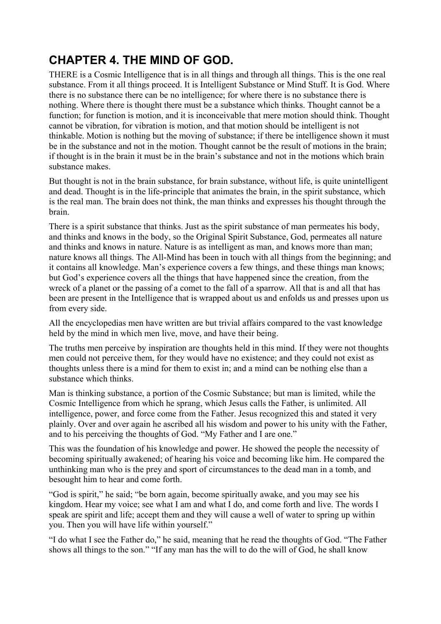#### CHAPTER 4. THE MIND OF GOD.

THERE is a Cosmic Intelligence that is in all things and through all things. This is the one real substance. From it all things proceed. It is Intelligent Substance or Mind Stuff. It is God. Where there is no substance there can be no intelligence; for where there is no substance there is nothing. Where there is thought there must be a substance which thinks. Thought cannot be a function; for function is motion, and it is inconceivable that mere motion should think. Thought cannot be vibration, for vibration is motion, and that motion should be intelligent is not thinkable. Motion is nothing but the moving of substance; if there be intelligence shown it must be in the substance and not in the motion. Thought cannot be the result of motions in the brain; if thought is in the brain it must be in the brain's substance and not in the motions which brain substance makes.

But thought is not in the brain substance, for brain substance, without life, is quite unintelligent and dead. Thought is in the life-principle that animates the brain, in the spirit substance, which is the real man. The brain does not think, the man thinks and expresses his thought through the brain.

There is a spirit substance that thinks. Just as the spirit substance of man permeates his body, and thinks and knows in the body, so the Original Spirit Substance, God, permeates all nature and thinks and knows in nature. Nature is as intelligent as man, and knows more than man; nature knows all things. The All-Mind has been in touch with all things from the beginning; and it contains all knowledge. Man's experience covers a few things, and these things man knows; but God's experience covers all the things that have happened since the creation, from the wreck of a planet or the passing of a comet to the fall of a sparrow. All that is and all that has been are present in the Intelligence that is wrapped about us and enfolds us and presses upon us from every side.

All the encyclopedias men have written are but trivial affairs compared to the vast knowledge held by the mind in which men live, move, and have their being.

The truths men perceive by inspiration are thoughts held in this mind. If they were not thoughts men could not perceive them, for they would have no existence; and they could not exist as thoughts unless there is a mind for them to exist in; and a mind can be nothing else than a substance which thinks.

Man is thinking substance, a portion of the Cosmic Substance; but man is limited, while the Cosmic Intelligence from which he sprang, which Jesus calls the Father, is unlimited. All intelligence, power, and force come from the Father. Jesus recognized this and stated it very plainly. Over and over again he ascribed all his wisdom and power to his unity with the Father, and to his perceiving the thoughts of God. "My Father and I are one."

This was the foundation of his knowledge and power. He showed the people the necessity of becoming spiritually awakened; of hearing his voice and becoming like him. He compared the unthinking man who is the prey and sport of circumstances to the dead man in a tomb, and besought him to hear and come forth.

"God is spirit," he said; "be born again, become spiritually awake, and you may see his kingdom. Hear my voice; see what I am and what I do, and come forth and live. The words I speak are spirit and life; accept them and they will cause a well of water to spring up within you. Then you will have life within yourself."

"I do what I see the Father do," he said, meaning that he read the thoughts of God. "The Father shows all things to the son." "If any man has the will to do the will of God, he shall know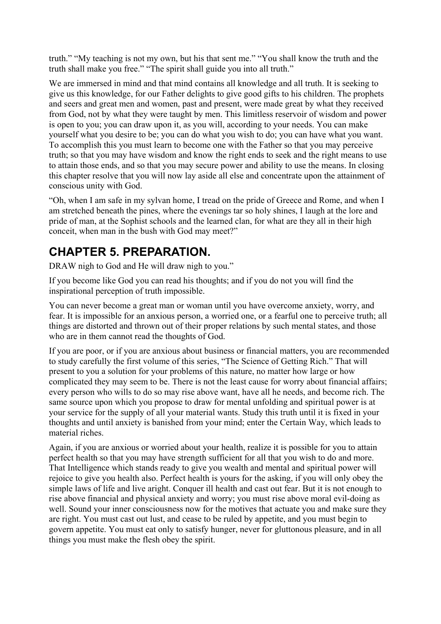truth." "My teaching is not my own, but his that sent me." "You shall know the truth and the truth shall make you free." "The spirit shall guide you into all truth."

We are immersed in mind and that mind contains all knowledge and all truth. It is seeking to give us this knowledge, for our Father delights to give good gifts to his children. The prophets and seers and great men and women, past and present, were made great by what they received from God, not by what they were taught by men. This limitless reservoir of wisdom and power is open to you; you can draw upon it, as you will, according to your needs. You can make yourself what you desire to be; you can do what you wish to do; you can have what you want. To accomplish this you must learn to become one with the Father so that you may perceive truth; so that you may have wisdom and know the right ends to seek and the right means to use to attain those ends, and so that you may secure power and ability to use the means. In closing this chapter resolve that you will now lay aside all else and concentrate upon the attainment of conscious unity with God.

"Oh, when I am safe in my sylvan home, I tread on the pride of Greece and Rome, and when I am stretched beneath the pines, where the evenings tar so holy shines, I laugh at the lore and pride of man, at the Sophist schools and the learned clan, for what are they all in their high conceit, when man in the bush with God may meet?"

#### CHAPTER 5. PREPARATION.

DRAW nigh to God and He will draw nigh to you."

If you become like God you can read his thoughts; and if you do not you will find the inspirational perception of truth impossible.

You can never become a great man or woman until you have overcome anxiety, worry, and fear. It is impossible for an anxious person, a worried one, or a fearful one to perceive truth; all things are distorted and thrown out of their proper relations by such mental states, and those who are in them cannot read the thoughts of God.

If you are poor, or if you are anxious about business or financial matters, you are recommended to study carefully the first volume of this series, "The Science of Getting Rich." That will present to you a solution for your problems of this nature, no matter how large or how complicated they may seem to be. There is not the least cause for worry about financial affairs; every person who wills to do so may rise above want, have all he needs, and become rich. The same source upon which you propose to draw for mental unfolding and spiritual power is at your service for the supply of all your material wants. Study this truth until it is fixed in your thoughts and until anxiety is banished from your mind; enter the Certain Way, which leads to material riches.

Again, if you are anxious or worried about your health, realize it is possible for you to attain perfect health so that you may have strength sufficient for all that you wish to do and more. That Intelligence which stands ready to give you wealth and mental and spiritual power will rejoice to give you health also. Perfect health is yours for the asking, if you will only obey the simple laws of life and live aright. Conquer ill health and cast out fear. But it is not enough to rise above financial and physical anxiety and worry; you must rise above moral evil-doing as well. Sound your inner consciousness now for the motives that actuate you and make sure they are right. You must cast out lust, and cease to be ruled by appetite, and you must begin to govern appetite. You must eat only to satisfy hunger, never for gluttonous pleasure, and in all things you must make the flesh obey the spirit.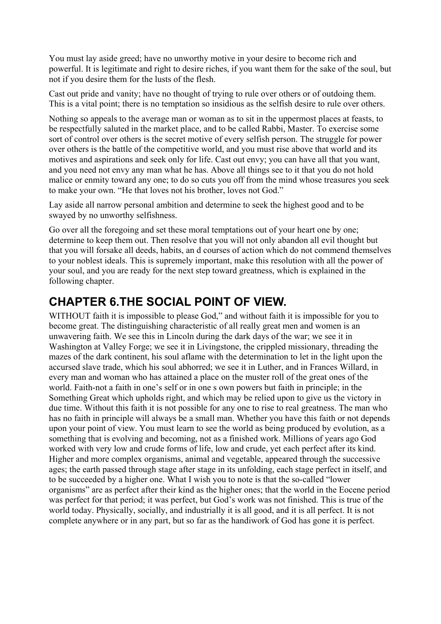You must lay aside greed; have no unworthy motive in your desire to become rich and powerful. It is legitimate and right to desire riches, if you want them for the sake of the soul, but not if you desire them for the lusts of the flesh.

Cast out pride and vanity; have no thought of trying to rule over others or of outdoing them. This is a vital point; there is no temptation so insidious as the selfish desire to rule over others.

Nothing so appeals to the average man or woman as to sit in the uppermost places at feasts, to be respectfully saluted in the market place, and to be called Rabbi, Master. To exercise some sort of control over others is the secret motive of every selfish person. The struggle for power over others is the battle of the competitive world, and you must rise above that world and its motives and aspirations and seek only for life. Cast out envy; you can have all that you want, and you need not envy any man what he has. Above all things see to it that you do not hold malice or enmity toward any one; to do so cuts you off from the mind whose treasures you seek to make your own. "He that loves not his brother, loves not God."

Lay aside all narrow personal ambition and determine to seek the highest good and to be swayed by no unworthy selfishness.

Go over all the foregoing and set these moral temptations out of your heart one by one; determine to keep them out. Then resolve that you will not only abandon all evil thought but that you will forsake all deeds, habits, an d courses of action which do not commend themselves to your noblest ideals. This is supremely important, make this resolution with all the power of your soul, and you are ready for the next step toward greatness, which is explained in the following chapter.

#### CHAPTER 6.THE SOCIAL POINT OF VIEW.

WITHOUT faith it is impossible to please God," and without faith it is impossible for you to become great. The distinguishing characteristic of all really great men and women is an unwavering faith. We see this in Lincoln during the dark days of the war; we see it in Washington at Valley Forge; we see it in Livingstone, the crippled missionary, threading the mazes of the dark continent, his soul aflame with the determination to let in the light upon the accursed slave trade, which his soul abhorred; we see it in Luther, and in Frances Willard, in every man and woman who has attained a place on the muster roll of the great ones of the world. Faith-not a faith in one's self or in one s own powers but faith in principle; in the Something Great which upholds right, and which may be relied upon to give us the victory in due time. Without this faith it is not possible for any one to rise to real greatness. The man who has no faith in principle will always be a small man. Whether you have this faith or not depends upon your point of view. You must learn to see the world as being produced by evolution, as a something that is evolving and becoming, not as a finished work. Millions of years ago God worked with very low and crude forms of life, low and crude, yet each perfect after its kind. Higher and more complex organisms, animal and vegetable, appeared through the successive ages; the earth passed through stage after stage in its unfolding, each stage perfect in itself, and to be succeeded by a higher one. What I wish you to note is that the so-called "lower organisms" are as perfect after their kind as the higher ones; that the world in the Eocene period was perfect for that period; it was perfect, but God's work was not finished. This is true of the world today. Physically, socially, and industrially it is all good, and it is all perfect. It is not complete anywhere or in any part, but so far as the handiwork of God has gone it is perfect.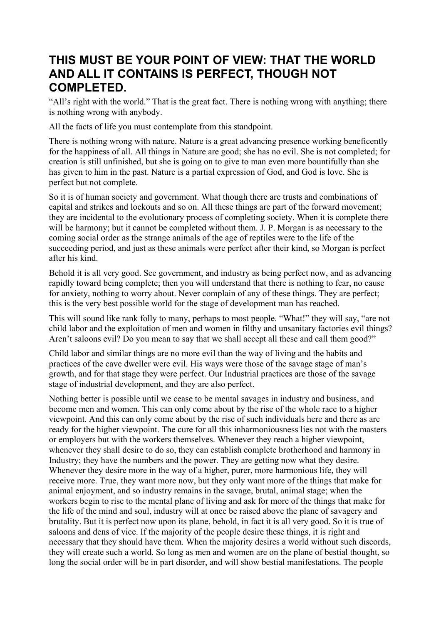#### THIS MUST BE YOUR POINT OF VIEW: THAT THE WORLD AND ALL IT CONTAINS IS PERFECT, THOUGH NOT COMPLETED.

"All's right with the world." That is the great fact. There is nothing wrong with anything; there is nothing wrong with anybody.

All the facts of life you must contemplate from this standpoint.

There is nothing wrong with nature. Nature is a great advancing presence working beneficently for the happiness of all. All things in Nature are good; she has no evil. She is not completed; for creation is still unfinished, but she is going on to give to man even more bountifully than she has given to him in the past. Nature is a partial expression of God, and God is love. She is perfect but not complete.

So it is of human society and government. What though there are trusts and combinations of capital and strikes and lockouts and so on. All these things are part of the forward movement; they are incidental to the evolutionary process of completing society. When it is complete there will be harmony; but it cannot be completed without them. J. P. Morgan is as necessary to the coming social order as the strange animals of the age of reptiles were to the life of the succeeding period, and just as these animals were perfect after their kind, so Morgan is perfect after his kind.

Behold it is all very good. See government, and industry as being perfect now, and as advancing rapidly toward being complete; then you will understand that there is nothing to fear, no cause for anxiety, nothing to worry about. Never complain of any of these things. They are perfect; this is the very best possible world for the stage of development man has reached.

This will sound like rank folly to many, perhaps to most people. "What!" they will say, "are not child labor and the exploitation of men and women in filthy and unsanitary factories evil things? Aren't saloons evil? Do you mean to say that we shall accept all these and call them good?"

Child labor and similar things are no more evil than the way of living and the habits and practices of the cave dweller were evil. His ways were those of the savage stage of man's growth, and for that stage they were perfect. Our Industrial practices are those of the savage stage of industrial development, and they are also perfect.

Nothing better is possible until we cease to be mental savages in industry and business, and become men and women. This can only come about by the rise of the whole race to a higher viewpoint. And this can only come about by the rise of such individuals here and there as are ready for the higher viewpoint. The cure for all this inharmoniousness lies not with the masters or employers but with the workers themselves. Whenever they reach a higher viewpoint, whenever they shall desire to do so, they can establish complete brotherhood and harmony in Industry; they have the numbers and the power. They are getting now what they desire. Whenever they desire more in the way of a higher, purer, more harmonious life, they will receive more. True, they want more now, but they only want more of the things that make for animal enjoyment, and so industry remains in the savage, brutal, animal stage; when the workers begin to rise to the mental plane of living and ask for more of the things that make for the life of the mind and soul, industry will at once be raised above the plane of savagery and brutality. But it is perfect now upon its plane, behold, in fact it is all very good. So it is true of saloons and dens of vice. If the majority of the people desire these things, it is right and necessary that they should have them. When the majority desires a world without such discords, they will create such a world. So long as men and women are on the plane of bestial thought, so long the social order will be in part disorder, and will show bestial manifestations. The people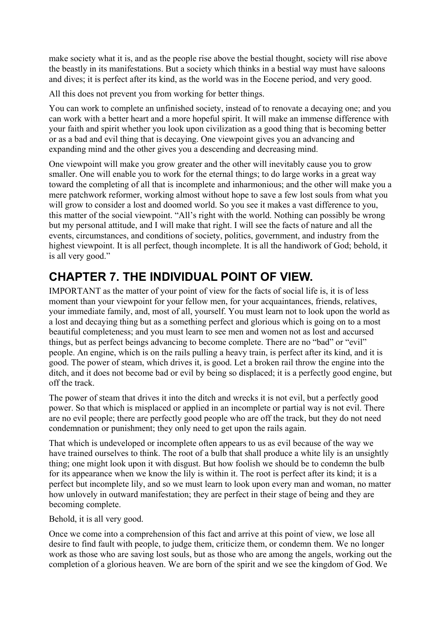make society what it is, and as the people rise above the bestial thought, society will rise above the beastly in its manifestations. But a society which thinks in a bestial way must have saloons and dives; it is perfect after its kind, as the world was in the Eocene period, and very good.

All this does not prevent you from working for better things.

You can work to complete an unfinished society, instead of to renovate a decaying one; and you can work with a better heart and a more hopeful spirit. It will make an immense difference with your faith and spirit whether you look upon civilization as a good thing that is becoming better or as a bad and evil thing that is decaying. One viewpoint gives you an advancing and expanding mind and the other gives you a descending and decreasing mind.

One viewpoint will make you grow greater and the other will inevitably cause you to grow smaller. One will enable you to work for the eternal things; to do large works in a great way toward the completing of all that is incomplete and inharmonious; and the other will make you a mere patchwork reformer, working almost without hope to save a few lost souls from what you will grow to consider a lost and doomed world. So you see it makes a vast difference to you, this matter of the social viewpoint. "All's right with the world. Nothing can possibly be wrong but my personal attitude, and I will make that right. I will see the facts of nature and all the events, circumstances, and conditions of society, politics, government, and industry from the highest viewpoint. It is all perfect, though incomplete. It is all the handiwork of God; behold, it is all very good."

#### CHAPTER 7. THE INDIVIDUAL POINT OF VIEW.

IMPORTANT as the matter of your point of view for the facts of social life is, it is of less moment than your viewpoint for your fellow men, for your acquaintances, friends, relatives, your immediate family, and, most of all, yourself. You must learn not to look upon the world as a lost and decaying thing but as a something perfect and glorious which is going on to a most beautiful completeness; and you must learn to see men and women not as lost and accursed things, but as perfect beings advancing to become complete. There are no "bad" or "evil" people. An engine, which is on the rails pulling a heavy train, is perfect after its kind, and it is good. The power of steam, which drives it, is good. Let a broken rail throw the engine into the ditch, and it does not become bad or evil by being so displaced; it is a perfectly good engine, but off the track.

The power of steam that drives it into the ditch and wrecks it is not evil, but a perfectly good power. So that which is misplaced or applied in an incomplete or partial way is not evil. There are no evil people; there are perfectly good people who are off the track, but they do not need condemnation or punishment; they only need to get upon the rails again.

That which is undeveloped or incomplete often appears to us as evil because of the way we have trained ourselves to think. The root of a bulb that shall produce a white lily is an unsightly thing; one might look upon it with disgust. But how foolish we should be to condemn the bulb for its appearance when we know the lily is within it. The root is perfect after its kind; it is a perfect but incomplete lily, and so we must learn to look upon every man and woman, no matter how unlovely in outward manifestation; they are perfect in their stage of being and they are becoming complete.

Behold, it is all very good.

Once we come into a comprehension of this fact and arrive at this point of view, we lose all desire to find fault with people, to judge them, criticize them, or condemn them. We no longer work as those who are saving lost souls, but as those who are among the angels, working out the completion of a glorious heaven. We are born of the spirit and we see the kingdom of God. We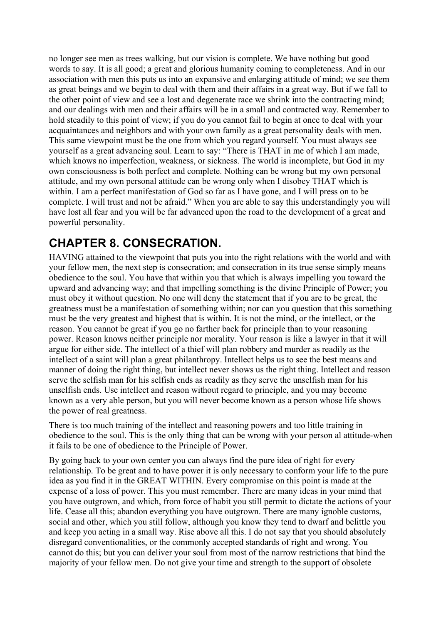no longer see men as trees walking, but our vision is complete. We have nothing but good words to say. It is all good; a great and glorious humanity coming to completeness. And in our association with men this puts us into an expansive and enlarging attitude of mind; we see them as great beings and we begin to deal with them and their affairs in a great way. But if we fall to the other point of view and see a lost and degenerate race we shrink into the contracting mind; and our dealings with men and their affairs will be in a small and contracted way. Remember to hold steadily to this point of view; if you do you cannot fail to begin at once to deal with your acquaintances and neighbors and with your own family as a great personality deals with men. This same viewpoint must be the one from which you regard yourself. You must always see yourself as a great advancing soul. Learn to say: "There is THAT in me of which I am made, which knows no imperfection, weakness, or sickness. The world is incomplete, but God in my own consciousness is both perfect and complete. Nothing can be wrong but my own personal attitude, and my own personal attitude can be wrong only when I disobey THAT which is within. I am a perfect manifestation of God so far as I have gone, and I will press on to be complete. I will trust and not be afraid." When you are able to say this understandingly you will have lost all fear and you will be far advanced upon the road to the development of a great and powerful personality.

#### CHAPTER 8. CONSECRATION.

HAVING attained to the viewpoint that puts you into the right relations with the world and with your fellow men, the next step is consecration; and consecration in its true sense simply means obedience to the soul. You have that within you that which is always impelling you toward the upward and advancing way; and that impelling something is the divine Principle of Power; you must obey it without question. No one will deny the statement that if you are to be great, the greatness must be a manifestation of something within; nor can you question that this something must be the very greatest and highest that is within. It is not the mind, or the intellect, or the reason. You cannot be great if you go no farther back for principle than to your reasoning power. Reason knows neither principle nor morality. Your reason is like a lawyer in that it will argue for either side. The intellect of a thief will plan robbery and murder as readily as the intellect of a saint will plan a great philanthropy. Intellect helps us to see the best means and manner of doing the right thing, but intellect never shows us the right thing. Intellect and reason serve the selfish man for his selfish ends as readily as they serve the unselfish man for his unselfish ends. Use intellect and reason without regard to principle, and you may become known as a very able person, but you will never become known as a person whose life shows the power of real greatness.

There is too much training of the intellect and reasoning powers and too little training in obedience to the soul. This is the only thing that can be wrong with your person al attitude-when it fails to be one of obedience to the Principle of Power.

By going back to your own center you can always find the pure idea of right for every relationship. To be great and to have power it is only necessary to conform your life to the pure idea as you find it in the GREAT WITHIN. Every compromise on this point is made at the expense of a loss of power. This you must remember. There are many ideas in your mind that you have outgrown, and which, from force of habit you still permit to dictate the actions of your life. Cease all this; abandon everything you have outgrown. There are many ignoble customs, social and other, which you still follow, although you know they tend to dwarf and belittle you and keep you acting in a small way. Rise above all this. I do not say that you should absolutely disregard conventionalities, or the commonly accepted standards of right and wrong. You cannot do this; but you can deliver your soul from most of the narrow restrictions that bind the majority of your fellow men. Do not give your time and strength to the support of obsolete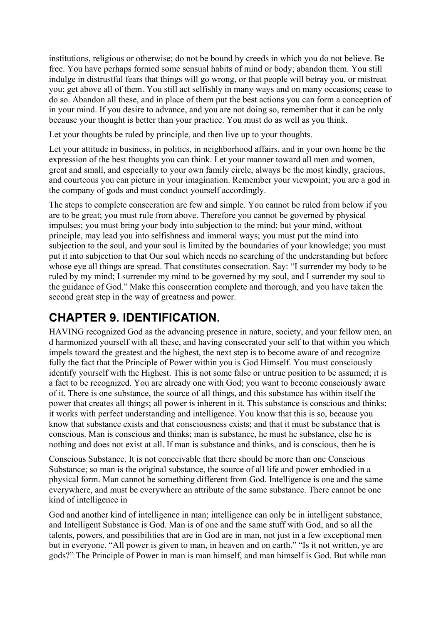institutions, religious or otherwise; do not be bound by creeds in which you do not believe. Be free. You have perhaps formed some sensual habits of mind or body; abandon them. You still indulge in distrustful fears that things will go wrong, or that people will betray you, or mistreat you; get above all of them. You still act selfishly in many ways and on many occasions; cease to do so. Abandon all these, and in place of them put the best actions you can form a conception of in your mind. If you desire to advance, and you are not doing so, remember that it can be only because your thought is better than your practice. You must do as well as you think.

Let your thoughts be ruled by principle, and then live up to your thoughts.

Let your attitude in business, in politics, in neighborhood affairs, and in your own home be the expression of the best thoughts you can think. Let your manner toward all men and women, great and small, and especially to your own family circle, always be the most kindly, gracious, and courteous you can picture in your imagination. Remember your viewpoint; you are a god in the company of gods and must conduct yourself accordingly.

The steps to complete consecration are few and simple. You cannot be ruled from below if you are to be great; you must rule from above. Therefore you cannot be governed by physical impulses; you must bring your body into subjection to the mind; but your mind, without principle, may lead you into selfishness and immoral ways; you must put the mind into subjection to the soul, and your soul is limited by the boundaries of your knowledge; you must put it into subjection to that Our soul which needs no searching of the understanding but before whose eye all things are spread. That constitutes consecration. Say: "I surrender my body to be ruled by my mind; I surrender my mind to be governed by my soul, and I surrender my soul to the guidance of God." Make this consecration complete and thorough, and you have taken the second great step in the way of greatness and power.

#### CHAPTER 9. IDENTIFICATION.

HAVING recognized God as the advancing presence in nature, society, and your fellow men, an d harmonized yourself with all these, and having consecrated your self to that within you which impels toward the greatest and the highest, the next step is to become aware of and recognize fully the fact that the Principle of Power within you is God Himself. You must consciously identify yourself with the Highest. This is not some false or untrue position to be assumed; it is a fact to be recognized. You are already one with God; you want to become consciously aware of it. There is one substance, the source of all things, and this substance has within itself the power that creates all things; all power is inherent in it. This substance is conscious and thinks; it works with perfect understanding and intelligence. You know that this is so, because you know that substance exists and that consciousness exists; and that it must be substance that is conscious. Man is conscious and thinks; man is substance, he must he substance, else he is nothing and does not exist at all. If man is substance and thinks, and is conscious, then he is

Conscious Substance. It is not conceivable that there should be more than one Conscious Substance; so man is the original substance, the source of all life and power embodied in a physical form. Man cannot be something different from God. Intelligence is one and the same everywhere, and must be everywhere an attribute of the same substance. There cannot be one kind of intelligence in

God and another kind of intelligence in man; intelligence can only be in intelligent substance, and Intelligent Substance is God. Man is of one and the same stuff with God, and so all the talents, powers, and possibilities that are in God are in man, not just in a few exceptional men but in everyone. "All power is given to man, in heaven and on earth." "Is it not written, ye are gods?" The Principle of Power in man is man himself, and man himself is God. But while man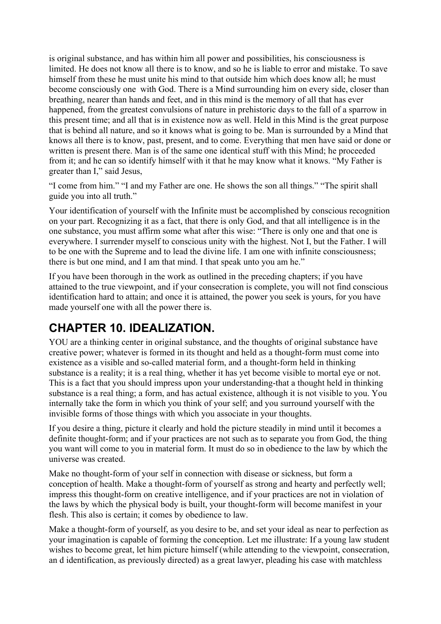is original substance, and has within him all power and possibilities, his consciousness is limited. He does not know all there is to know, and so he is liable to error and mistake. To save himself from these he must unite his mind to that outside him which does know all; he must become consciously one with God. There is a Mind surrounding him on every side, closer than breathing, nearer than hands and feet, and in this mind is the memory of all that has ever happened, from the greatest convulsions of nature in prehistoric days to the fall of a sparrow in this present time; and all that is in existence now as well. Held in this Mind is the great purpose that is behind all nature, and so it knows what is going to be. Man is surrounded by a Mind that knows all there is to know, past, present, and to come. Everything that men have said or done or written is present there. Man is of the same one identical stuff with this Mind; he proceeded from it; and he can so identify himself with it that he may know what it knows. "My Father is greater than I," said Jesus,

"I come from him." "I and my Father are one. He shows the son all things." "The spirit shall guide you into all truth."

Your identification of yourself with the Infinite must be accomplished by conscious recognition on your part. Recognizing it as a fact, that there is only God, and that all intelligence is in the one substance, you must affirm some what after this wise: "There is only one and that one is everywhere. I surrender myself to conscious unity with the highest. Not I, but the Father. I will to be one with the Supreme and to lead the divine life. I am one with infinite consciousness; there is but one mind, and I am that mind. I that speak unto you am he."

If you have been thorough in the work as outlined in the preceding chapters; if you have attained to the true viewpoint, and if your consecration is complete, you will not find conscious identification hard to attain; and once it is attained, the power you seek is yours, for you have made yourself one with all the power there is.

#### CHAPTER 10. IDEALIZATION.

YOU are a thinking center in original substance, and the thoughts of original substance have creative power; whatever is formed in its thought and held as a thought-form must come into existence as a visible and so-called material form, and a thought-form held in thinking substance is a reality; it is a real thing, whether it has yet become visible to mortal eye or not. This is a fact that you should impress upon your understanding-that a thought held in thinking substance is a real thing; a form, and has actual existence, although it is not visible to you. You internally take the form in which you think of your self; and you surround yourself with the invisible forms of those things with which you associate in your thoughts.

If you desire a thing, picture it clearly and hold the picture steadily in mind until it becomes a definite thought-form; and if your practices are not such as to separate you from God, the thing you want will come to you in material form. It must do so in obedience to the law by which the universe was created.

Make no thought-form of your self in connection with disease or sickness, but form a conception of health. Make a thought-form of yourself as strong and hearty and perfectly well; impress this thought-form on creative intelligence, and if your practices are not in violation of the laws by which the physical body is built, your thought-form will become manifest in your flesh. This also is certain; it comes by obedience to law.

Make a thought-form of yourself, as you desire to be, and set your ideal as near to perfection as your imagination is capable of forming the conception. Let me illustrate: If a young law student wishes to become great, let him picture himself (while attending to the viewpoint, consecration, an d identification, as previously directed) as a great lawyer, pleading his case with matchless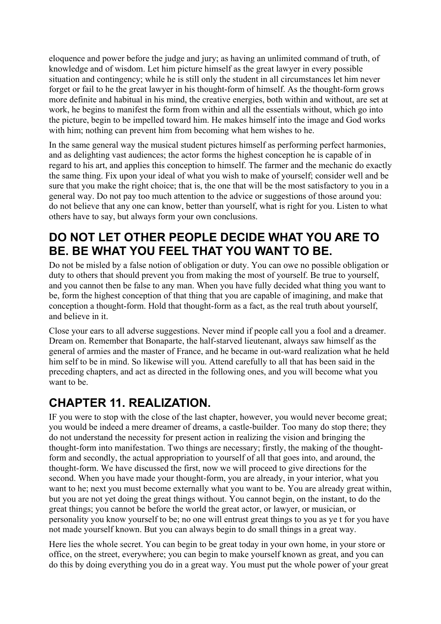eloquence and power before the judge and jury; as having an unlimited command of truth, of knowledge and of wisdom. Let him picture himself as the great lawyer in every possible situation and contingency; while he is still only the student in all circumstances let him never forget or fail to he the great lawyer in his thought-form of himself. As the thought-form grows more definite and habitual in his mind, the creative energies, both within and without, are set at work, he begins to manifest the form from within and all the essentials without, which go into the picture, begin to be impelled toward him. He makes himself into the image and God works with him; nothing can prevent him from becoming what hem wishes to he.

In the same general way the musical student pictures himself as performing perfect harmonies, and as delighting vast audiences; the actor forms the highest conception he is capable of in regard to his art, and applies this conception to himself. The farmer and the mechanic do exactly the same thing. Fix upon your ideal of what you wish to make of yourself; consider well and be sure that you make the right choice; that is, the one that will be the most satisfactory to you in a general way. Do not pay too much attention to the advice or suggestions of those around you: do not believe that any one can know, better than yourself, what is right for you. Listen to what others have to say, but always form your own conclusions.

#### DO NOT LET OTHER PEOPLE DECIDE WHAT YOU ARE TO BE. BE WHAT YOU FEEL THAT YOU WANT TO BE.

Do not be misled by a false notion of obligation or duty. You can owe no possible obligation or duty to others that should prevent you from making the most of yourself. Be true to yourself, and you cannot then be false to any man. When you have fully decided what thing you want to be, form the highest conception of that thing that you are capable of imagining, and make that conception a thought-form. Hold that thought-form as a fact, as the real truth about yourself, and believe in it.

Close your ears to all adverse suggestions. Never mind if people call you a fool and a dreamer. Dream on. Remember that Bonaparte, the half-starved lieutenant, always saw himself as the general of armies and the master of France, and he became in out-ward realization what he held him self to be in mind. So likewise will you. Attend carefully to all that has been said in the preceding chapters, and act as directed in the following ones, and you will become what you want to be.

#### CHAPTER 11. REALIZATION.

IF you were to stop with the close of the last chapter, however, you would never become great; you would be indeed a mere dreamer of dreams, a castle-builder. Too many do stop there; they do not understand the necessity for present action in realizing the vision and bringing the thought-form into manifestation. Two things are necessary; firstly, the making of the thoughtform and secondly, the actual appropriation to yourself of all that goes into, and around, the thought-form. We have discussed the first, now we will proceed to give directions for the second. When you have made your thought-form, you are already, in your interior, what you want to he; next you must become externally what you want to be. You are already great within, but you are not yet doing the great things without. You cannot begin, on the instant, to do the great things; you cannot be before the world the great actor, or lawyer, or musician, or personality you know yourself to be; no one will entrust great things to you as ye t for you have not made yourself known. But you can always begin to do small things in a great way.

Here lies the whole secret. You can begin to be great today in your own home, in your store or office, on the street, everywhere; you can begin to make yourself known as great, and you can do this by doing everything you do in a great way. You must put the whole power of your great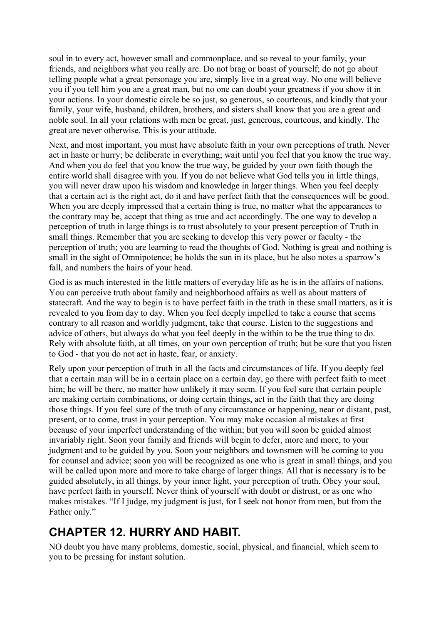soul in to every act, however small and commonplace, and so reveal to your family, your friends, and neighbors what you really are. Do not brag or boast of yourself; do not go about telling people what a great personage you are, simply live in a great way. No one will believe you if you tell him you are a great man, but no one can doubt your greatness if you show it in your actions. In your domestic circle be so just, so generous, so courteous, and kindly that your family, your wife, husband, children, brothers, and sisters shall know that you are a great and noble soul. In all your relations with men be great, just, generous, courteous, and kindly. The great are never otherwise. This is your attitude.

Next, and most important, you must have absolute faith in your own perceptions of truth. Never act in haste or hurry; be deliberate in everything; wait until you feel that you know the true way. And when you do feel that you know the true way, be guided by your own faith though the entire world shall disagree with you. If you do not believe what God tells you in little things, you will never draw upon his wisdom and knowledge in larger things. When you feel deeply that a certain act is the right act, do it and have perfect faith that the consequences will be good. When you are deeply impressed that a certain thing is true, no matter what the appearances to the contrary may be, accept that thing as true and act accordingly. The one way to develop a perception of truth in large things is to trust absolutely to your present perception of Truth in small things. Remember that you are seeking to develop this very power or faculty - the perception of truth; you are learning to read the thoughts of God. Nothing is great and nothing is small in the sight of Omnipotence; he holds the sun in its place, but he also notes a sparrow's fall, and numbers the hairs of your head.

God is as much interested in the little matters of everyday life as he is in the affairs of nations. You can perceive truth about family and neighborhood affairs as well as about matters of statecraft. And the way to begin is to have perfect faith in the truth in these small matters, as it is revealed to you from day to day. When you feel deeply impelled to take a course that seems contrary to all reason and worldly judgment, take that course. Listen to the suggestions and advice of others, but always do what you feel deeply in the within to be the true thing to do. Rely with absolute faith, at all times, on your own perception of truth; but be sure that you listen to God - that you do not act in haste, fear, or anxiety.

Rely upon your perception of truth in all the facts and circumstances of life. If you deeply feel that a certain man will be in a certain place on a certain day, go there with perfect faith to meet him; he will be there, no matter how unlikely it may seem. If you feel sure that certain people are making certain combinations, or doing certain things, act in the faith that they are doing those things. If you feel sure of the truth of any circumstance or happening, near or distant, past, present, or to come, trust in your perception. You may make occasion al mistakes at first because of your imperfect understanding of the within; but you will soon be guided almost invariably right. Soon your family and friends will begin to defer, more and more, to your judgment and to be guided by you. Soon your neighbors and townsmen will be coming to you for counsel and advice; soon you will be recognized as one who is great in small things, and you will be called upon more and more to take charge of larger things. All that is necessary is to be guided absolutely, in all things, by your inner light, your perception of truth. Obey your soul, have perfect faith in yourself. Never think of yourself with doubt or distrust, or as one who makes mistakes. "If I judge, my judgment is just, for I seek not honor from men, but from the Father only."

#### CHAPTER 12. HURRY AND HABIT.

NO doubt you have many problems, domestic, social, physical, and financial, which seem to you to be pressing for instant solution.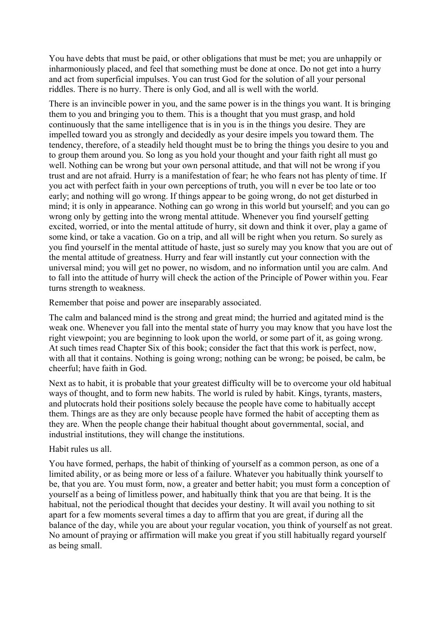You have debts that must be paid, or other obligations that must be met; you are unhappily or inharmoniously placed, and feel that something must be done at once. Do not get into a hurry and act from superficial impulses. You can trust God for the solution of all your personal riddles. There is no hurry. There is only God, and all is well with the world.

There is an invincible power in you, and the same power is in the things you want. It is bringing them to you and bringing you to them. This is a thought that you must grasp, and hold continuously that the same intelligence that is in you is in the things you desire. They are impelled toward you as strongly and decidedly as your desire impels you toward them. The tendency, therefore, of a steadily held thought must be to bring the things you desire to you and to group them around you. So long as you hold your thought and your faith right all must go well. Nothing can be wrong but your own personal attitude, and that will not be wrong if you trust and are not afraid. Hurry is a manifestation of fear; he who fears not has plenty of time. If you act with perfect faith in your own perceptions of truth, you will n ever be too late or too early; and nothing will go wrong. If things appear to be going wrong, do not get disturbed in mind; it is only in appearance. Nothing can go wrong in this world but yourself; and you can go wrong only by getting into the wrong mental attitude. Whenever you find yourself getting excited, worried, or into the mental attitude of hurry, sit down and think it over, play a game of some kind, or take a vacation. Go on a trip, and all will be right when you return. So surely as you find yourself in the mental attitude of haste, just so surely may you know that you are out of the mental attitude of greatness. Hurry and fear will instantly cut your connection with the universal mind; you will get no power, no wisdom, and no information until you are calm. And to fall into the attitude of hurry will check the action of the Principle of Power within you. Fear turns strength to weakness.

Remember that poise and power are inseparably associated.

The calm and balanced mind is the strong and great mind; the hurried and agitated mind is the weak one. Whenever you fall into the mental state of hurry you may know that you have lost the right viewpoint; you are beginning to look upon the world, or some part of it, as going wrong. At such times read Chapter Six of this book; consider the fact that this work is perfect, now, with all that it contains. Nothing is going wrong; nothing can be wrong; be poised, be calm, be cheerful; have faith in God.

Next as to habit, it is probable that your greatest difficulty will be to overcome your old habitual ways of thought, and to form new habits. The world is ruled by habit. Kings, tyrants, masters, and plutocrats hold their positions solely because the people have come to habitually accept them. Things are as they are only because people have formed the habit of accepting them as they are. When the people change their habitual thought about governmental, social, and industrial institutions, they will change the institutions.

#### Habit rules us all.

You have formed, perhaps, the habit of thinking of yourself as a common person, as one of a limited ability, or as being more or less of a failure. Whatever you habitually think yourself to be, that you are. You must form, now, a greater and better habit; you must form a conception of yourself as a being of limitless power, and habitually think that you are that being. It is the habitual, not the periodical thought that decides your destiny. It will avail you nothing to sit apart for a few moments several times a day to affirm that you are great, if during all the balance of the day, while you are about your regular vocation, you think of yourself as not great. No amount of praying or affirmation will make you great if you still habitually regard yourself as being small.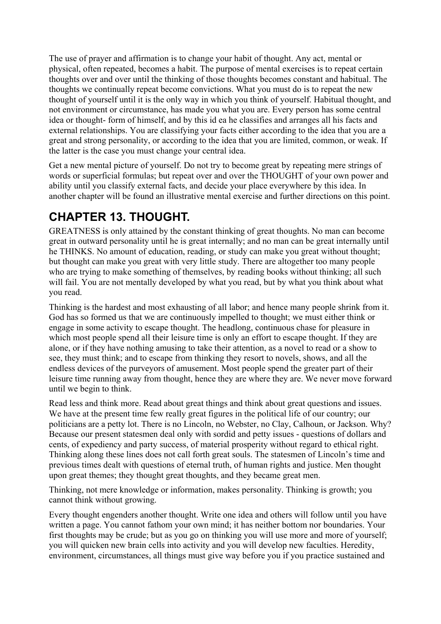The use of prayer and affirmation is to change your habit of thought. Any act, mental or physical, often repeated, becomes a habit. The purpose of mental exercises is to repeat certain thoughts over and over until the thinking of those thoughts becomes constant and habitual. The thoughts we continually repeat become convictions. What you must do is to repeat the new thought of yourself until it is the only way in which you think of yourself. Habitual thought, and not environment or circumstance, has made you what you are. Every person has some central idea or thought- form of himself, and by this id ea he classifies and arranges all his facts and external relationships. You are classifying your facts either according to the idea that you are a great and strong personality, or according to the idea that you are limited, common, or weak. If the latter is the case you must change your central idea.

Get a new mental picture of yourself. Do not try to become great by repeating mere strings of words or superficial formulas; but repeat over and over the THOUGHT of your own power and ability until you classify external facts, and decide your place everywhere by this idea. In another chapter will be found an illustrative mental exercise and further directions on this point.

#### CHAPTER 13. THOUGHT.

GREATNESS is only attained by the constant thinking of great thoughts. No man can become great in outward personality until he is great internally; and no man can be great internally until he THINKS. No amount of education, reading, or study can make you great without thought; but thought can make you great with very little study. There are altogether too many people who are trying to make something of themselves, by reading books without thinking; all such will fail. You are not mentally developed by what you read, but by what you think about what you read.

Thinking is the hardest and most exhausting of all labor; and hence many people shrink from it. God has so formed us that we are continuously impelled to thought; we must either think or engage in some activity to escape thought. The headlong, continuous chase for pleasure in which most people spend all their leisure time is only an effort to escape thought. If they are alone, or if they have nothing amusing to take their attention, as a novel to read or a show to see, they must think; and to escape from thinking they resort to novels, shows, and all the endless devices of the purveyors of amusement. Most people spend the greater part of their leisure time running away from thought, hence they are where they are. We never move forward until we begin to think.

Read less and think more. Read about great things and think about great questions and issues. We have at the present time few really great figures in the political life of our country; our politicians are a petty lot. There is no Lincoln, no Webster, no Clay, Calhoun, or Jackson. Why? Because our present statesmen deal only with sordid and petty issues - questions of dollars and cents, of expediency and party success, of material prosperity without regard to ethical right. Thinking along these lines does not call forth great souls. The statesmen of Lincoln's time and previous times dealt with questions of eternal truth, of human rights and justice. Men thought upon great themes; they thought great thoughts, and they became great men.

Thinking, not mere knowledge or information, makes personality. Thinking is growth; you cannot think without growing.

Every thought engenders another thought. Write one idea and others will follow until you have written a page. You cannot fathom your own mind; it has neither bottom nor boundaries. Your first thoughts may be crude; but as you go on thinking you will use more and more of yourself; you will quicken new brain cells into activity and you will develop new faculties. Heredity, environment, circumstances, all things must give way before you if you practice sustained and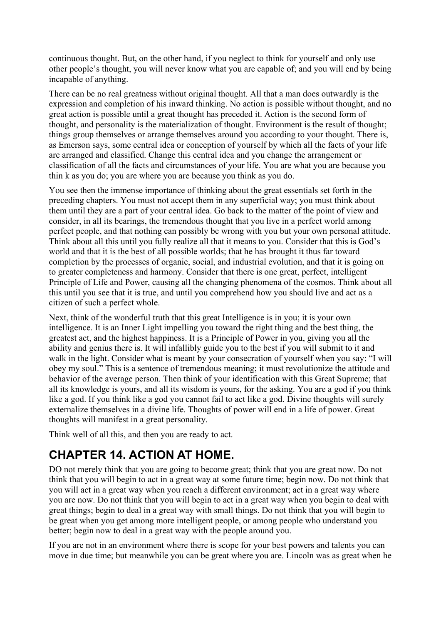continuous thought. But, on the other hand, if you neglect to think for yourself and only use other people's thought, you will never know what you are capable of; and you will end by being incapable of anything.

There can be no real greatness without original thought. All that a man does outwardly is the expression and completion of his inward thinking. No action is possible without thought, and no great action is possible until a great thought has preceded it. Action is the second form of thought, and personality is the materialization of thought. Environment is the result of thought; things group themselves or arrange themselves around you according to your thought. There is, as Emerson says, some central idea or conception of yourself by which all the facts of your life are arranged and classified. Change this central idea and you change the arrangement or classification of all the facts and circumstances of your life. You are what you are because you thin k as you do; you are where you are because you think as you do.

You see then the immense importance of thinking about the great essentials set forth in the preceding chapters. You must not accept them in any superficial way; you must think about them until they are a part of your central idea. Go back to the matter of the point of view and consider, in all its bearings, the tremendous thought that you live in a perfect world among perfect people, and that nothing can possibly be wrong with you but your own personal attitude. Think about all this until you fully realize all that it means to you. Consider that this is God's world and that it is the best of all possible worlds; that he has brought it thus far toward completion by the processes of organic, social, and industrial evolution, and that it is going on to greater completeness and harmony. Consider that there is one great, perfect, intelligent Principle of Life and Power, causing all the changing phenomena of the cosmos. Think about all this until you see that it is true, and until you comprehend how you should live and act as a citizen of such a perfect whole.

Next, think of the wonderful truth that this great Intelligence is in you; it is your own intelligence. It is an Inner Light impelling you toward the right thing and the best thing, the greatest act, and the highest happiness. It is a Principle of Power in you, giving you all the ability and genius there is. It will infallibly guide you to the best if you will submit to it and walk in the light. Consider what is meant by your consecration of yourself when you say: "I will obey my soul." This is a sentence of tremendous meaning; it must revolutionize the attitude and behavior of the average person. Then think of your identification with this Great Supreme; that all its knowledge is yours, and all its wisdom is yours, for the asking. You are a god if you think like a god. If you think like a god you cannot fail to act like a god. Divine thoughts will surely externalize themselves in a divine life. Thoughts of power will end in a life of power. Great thoughts will manifest in a great personality.

Think well of all this, and then you are ready to act.

#### CHAPTER 14. ACTION AT HOME.

DO not merely think that you are going to become great; think that you are great now. Do not think that you will begin to act in a great way at some future time; begin now. Do not think that you will act in a great way when you reach a different environment; act in a great way where you are now. Do not think that you will begin to act in a great way when you begin to deal with great things; begin to deal in a great way with small things. Do not think that you will begin to be great when you get among more intelligent people, or among people who understand you better; begin now to deal in a great way with the people around you.

If you are not in an environment where there is scope for your best powers and talents you can move in due time; but meanwhile you can be great where you are. Lincoln was as great when he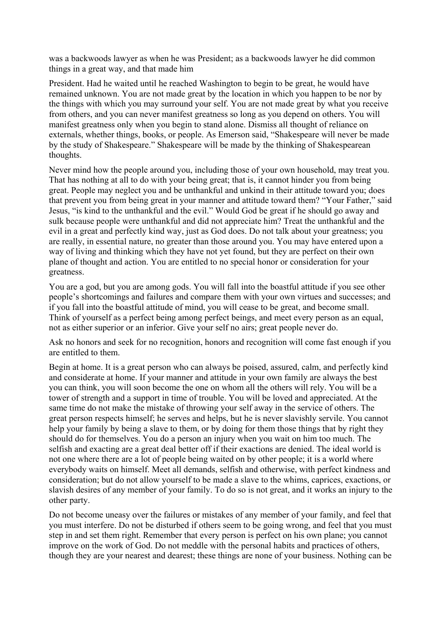was a backwoods lawyer as when he was President; as a backwoods lawyer he did common things in a great way, and that made him

President. Had he waited until he reached Washington to begin to be great, he would have remained unknown. You are not made great by the location in which you happen to be nor by the things with which you may surround your self. You are not made great by what you receive from others, and you can never manifest greatness so long as you depend on others. You will manifest greatness only when you begin to stand alone. Dismiss all thought of reliance on externals, whether things, books, or people. As Emerson said, "Shakespeare will never be made by the study of Shakespeare." Shakespeare will be made by the thinking of Shakespearean thoughts.

Never mind how the people around you, including those of your own household, may treat you. That has nothing at all to do with your being great; that is, it cannot hinder you from being great. People may neglect you and be unthankful and unkind in their attitude toward you; does that prevent you from being great in your manner and attitude toward them? "Your Father," said Jesus, "is kind to the unthankful and the evil." Would God be great if he should go away and sulk because people were unthankful and did not appreciate him? Treat the unthankful and the evil in a great and perfectly kind way, just as God does. Do not talk about your greatness; you are really, in essential nature, no greater than those around you. You may have entered upon a way of living and thinking which they have not yet found, but they are perfect on their own plane of thought and action. You are entitled to no special honor or consideration for your greatness.

You are a god, but you are among gods. You will fall into the boastful attitude if you see other people's shortcomings and failures and compare them with your own virtues and successes; and if you fall into the boastful attitude of mind, you will cease to be great, and become small. Think of yourself as a perfect being among perfect beings, and meet every person as an equal, not as either superior or an inferior. Give your self no airs; great people never do.

Ask no honors and seek for no recognition, honors and recognition will come fast enough if you are entitled to them.

Begin at home. It is a great person who can always be poised, assured, calm, and perfectly kind and considerate at home. If your manner and attitude in your own family are always the best you can think, you will soon become the one on whom all the others will rely. You will be a tower of strength and a support in time of trouble. You will be loved and appreciated. At the same time do not make the mistake of throwing your self away in the service of others. The great person respects himself; he serves and helps, but he is never slavishly servile. You cannot help your family by being a slave to them, or by doing for them those things that by right they should do for themselves. You do a person an injury when you wait on him too much. The selfish and exacting are a great deal better off if their exactions are denied. The ideal world is not one where there are a lot of people being waited on by other people; it is a world where everybody waits on himself. Meet all demands, selfish and otherwise, with perfect kindness and consideration; but do not allow yourself to be made a slave to the whims, caprices, exactions, or slavish desires of any member of your family. To do so is not great, and it works an injury to the other party.

Do not become uneasy over the failures or mistakes of any member of your family, and feel that you must interfere. Do not be disturbed if others seem to be going wrong, and feel that you must step in and set them right. Remember that every person is perfect on his own plane; you cannot improve on the work of God. Do not meddle with the personal habits and practices of others, though they are your nearest and dearest; these things are none of your business. Nothing can be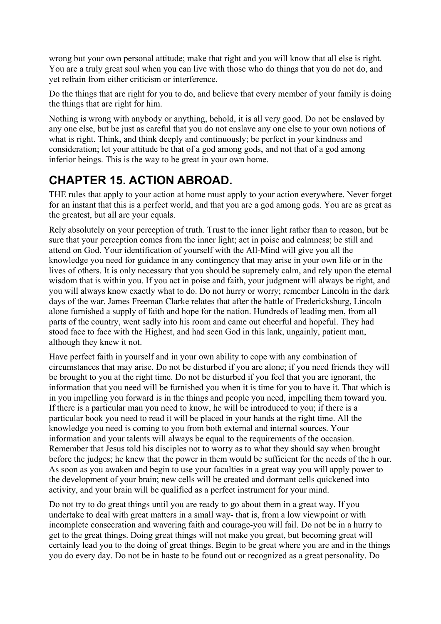wrong but your own personal attitude; make that right and you will know that all else is right. You are a truly great soul when you can live with those who do things that you do not do, and yet refrain from either criticism or interference.

Do the things that are right for you to do, and believe that every member of your family is doing the things that are right for him.

Nothing is wrong with anybody or anything, behold, it is all very good. Do not be enslaved by any one else, but be just as careful that you do not enslave any one else to your own notions of what is right. Think, and think deeply and continuously; be perfect in your kindness and consideration; let your attitude be that of a god among gods, and not that of a god among inferior beings. This is the way to be great in your own home.

#### CHAPTER 15. ACTION ABROAD.

THE rules that apply to your action at home must apply to your action everywhere. Never forget for an instant that this is a perfect world, and that you are a god among gods. You are as great as the greatest, but all are your equals.

Rely absolutely on your perception of truth. Trust to the inner light rather than to reason, but be sure that your perception comes from the inner light; act in poise and calmness; be still and attend on God. Your identification of yourself with the All-Mind will give you all the knowledge you need for guidance in any contingency that may arise in your own life or in the lives of others. It is only necessary that you should be supremely calm, and rely upon the eternal wisdom that is within you. If you act in poise and faith, your judgment will always be right, and you will always know exactly what to do. Do not hurry or worry; remember Lincoln in the dark days of the war. James Freeman Clarke relates that after the battle of Fredericksburg, Lincoln alone furnished a supply of faith and hope for the nation. Hundreds of leading men, from all parts of the country, went sadly into his room and came out cheerful and hopeful. They had stood face to face with the Highest, and had seen God in this lank, ungainly, patient man, although they knew it not.

Have perfect faith in yourself and in your own ability to cope with any combination of circumstances that may arise. Do not be disturbed if you are alone; if you need friends they will be brought to you at the right time. Do not be disturbed if you feel that you are ignorant, the information that you need will be furnished you when it is time for you to have it. That which is in you impelling you forward is in the things and people you need, impelling them toward you. If there is a particular man you need to know, he will be introduced to you; if there is a particular book you need to read it will be placed in your hands at the right time. All the knowledge you need is coming to you from both external and internal sources. Your information and your talents will always be equal to the requirements of the occasion. Remember that Jesus told his disciples not to worry as to what they should say when brought before the judges; he knew that the power in them would be sufficient for the needs of the h our. As soon as you awaken and begin to use your faculties in a great way you will apply power to the development of your brain; new cells will be created and dormant cells quickened into activity, and your brain will be qualified as a perfect instrument for your mind.

Do not try to do great things until you are ready to go about them in a great way. If you undertake to deal with great matters in a small way- that is, from a low viewpoint or with incomplete consecration and wavering faith and courage-you will fail. Do not be in a hurry to get to the great things. Doing great things will not make you great, but becoming great will certainly lead you to the doing of great things. Begin to be great where you are and in the things you do every day. Do not be in haste to be found out or recognized as a great personality. Do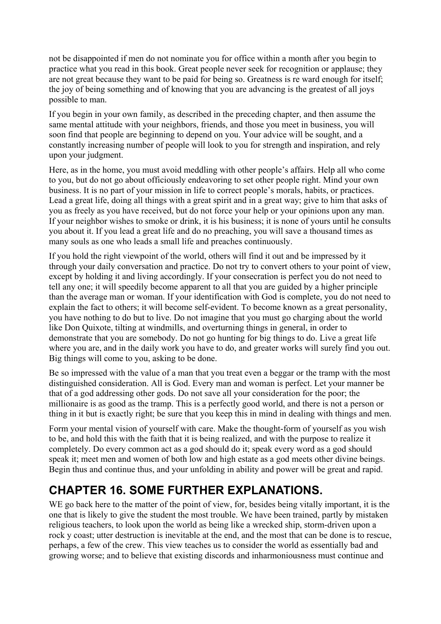not be disappointed if men do not nominate you for office within a month after you begin to practice what you read in this book. Great people never seek for recognition or applause; they are not great because they want to be paid for being so. Greatness is re ward enough for itself; the joy of being something and of knowing that you are advancing is the greatest of all joys possible to man.

If you begin in your own family, as described in the preceding chapter, and then assume the same mental attitude with your neighbors, friends, and those you meet in business, you will soon find that people are beginning to depend on you. Your advice will be sought, and a constantly increasing number of people will look to you for strength and inspiration, and rely upon your judgment.

Here, as in the home, you must avoid meddling with other people's affairs. Help all who come to you, but do not go about officiously endeavoring to set other people right. Mind your own business. It is no part of your mission in life to correct people's morals, habits, or practices. Lead a great life, doing all things with a great spirit and in a great way; give to him that asks of you as freely as you have received, but do not force your help or your opinions upon any man. If your neighbor wishes to smoke or drink, it is his business; it is none of yours until he consults you about it. If you lead a great life and do no preaching, you will save a thousand times as many souls as one who leads a small life and preaches continuously.

If you hold the right viewpoint of the world, others will find it out and be impressed by it through your daily conversation and practice. Do not try to convert others to your point of view, except by holding it and living accordingly. If your consecration is perfect you do not need to tell any one; it will speedily become apparent to all that you are guided by a higher principle than the average man or woman. If your identification with God is complete, you do not need to explain the fact to others; it will become self-evident. To become known as a great personality, you have nothing to do but to live. Do not imagine that you must go charging about the world like Don Quixote, tilting at windmills, and overturning things in general, in order to demonstrate that you are somebody. Do not go hunting for big things to do. Live a great life where you are, and in the daily work you have to do, and greater works will surely find you out. Big things will come to you, asking to be done.

Be so impressed with the value of a man that you treat even a beggar or the tramp with the most distinguished consideration. All is God. Every man and woman is perfect. Let your manner be that of a god addressing other gods. Do not save all your consideration for the poor; the millionaire is as good as the tramp. This is a perfectly good world, and there is not a person or thing in it but is exactly right; be sure that you keep this in mind in dealing with things and men.

Form your mental vision of yourself with care. Make the thought-form of yourself as you wish to be, and hold this with the faith that it is being realized, and with the purpose to realize it completely. Do every common act as a god should do it; speak every word as a god should speak it; meet men and women of both low and high estate as a god meets other divine beings. Begin thus and continue thus, and your unfolding in ability and power will be great and rapid.

## CHAPTER 16. SOME FURTHER EXPLANATIONS.

WE go back here to the matter of the point of view, for, besides being vitally important, it is the one that is likely to give the student the most trouble. We have been trained, partly by mistaken religious teachers, to look upon the world as being like a wrecked ship, storm-driven upon a rock y coast; utter destruction is inevitable at the end, and the most that can be done is to rescue, perhaps, a few of the crew. This view teaches us to consider the world as essentially bad and growing worse; and to believe that existing discords and inharmoniousness must continue and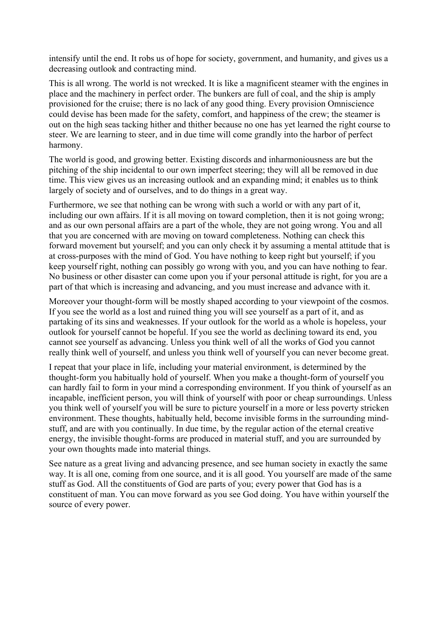intensify until the end. It robs us of hope for society, government, and humanity, and gives us a decreasing outlook and contracting mind.

This is all wrong. The world is not wrecked. It is like a magnificent steamer with the engines in place and the machinery in perfect order. The bunkers are full of coal, and the ship is amply provisioned for the cruise; there is no lack of any good thing. Every provision Omniscience could devise has been made for the safety, comfort, and happiness of the crew; the steamer is out on the high seas tacking hither and thither because no one has yet learned the right course to steer. We are learning to steer, and in due time will come grandly into the harbor of perfect harmony.

The world is good, and growing better. Existing discords and inharmoniousness are but the pitching of the ship incidental to our own imperfect steering; they will all be removed in due time. This view gives us an increasing outlook and an expanding mind; it enables us to think largely of society and of ourselves, and to do things in a great way.

Furthermore, we see that nothing can be wrong with such a world or with any part of it, including our own affairs. If it is all moving on toward completion, then it is not going wrong; and as our own personal affairs are a part of the whole, they are not going wrong. You and all that you are concerned with are moving on toward completeness. Nothing can check this forward movement but yourself; and you can only check it by assuming a mental attitude that is at cross-purposes with the mind of God. You have nothing to keep right but yourself; if you keep yourself right, nothing can possibly go wrong with you, and you can have nothing to fear. No business or other disaster can come upon you if your personal attitude is right, for you are a part of that which is increasing and advancing, and you must increase and advance with it.

Moreover your thought-form will be mostly shaped according to your viewpoint of the cosmos. If you see the world as a lost and ruined thing you will see yourself as a part of it, and as partaking of its sins and weaknesses. If your outlook for the world as a whole is hopeless, your outlook for yourself cannot be hopeful. If you see the world as declining toward its end, you cannot see yourself as advancing. Unless you think well of all the works of God you cannot really think well of yourself, and unless you think well of yourself you can never become great.

I repeat that your place in life, including your material environment, is determined by the thought-form you habitually hold of yourself. When you make a thought-form of yourself you can hardly fail to form in your mind a corresponding environment. If you think of yourself as an incapable, inefficient person, you will think of yourself with poor or cheap surroundings. Unless you think well of yourself you will be sure to picture yourself in a more or less poverty stricken environment. These thoughts, habitually held, become invisible forms in the surrounding mindstuff, and are with you continually. In due time, by the regular action of the eternal creative energy, the invisible thought-forms are produced in material stuff, and you are surrounded by your own thoughts made into material things.

See nature as a great living and advancing presence, and see human society in exactly the same way. It is all one, coming from one source, and it is all good. You yourself are made of the same stuff as God. All the constituents of God are parts of you; every power that God has is a constituent of man. You can move forward as you see God doing. You have within yourself the source of every power.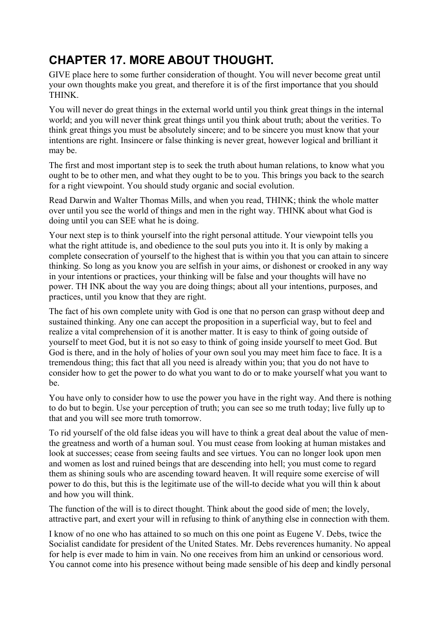#### CHAPTER 17. MORE ABOUT THOUGHT.

GIVE place here to some further consideration of thought. You will never become great until your own thoughts make you great, and therefore it is of the first importance that you should THINK.

You will never do great things in the external world until you think great things in the internal world; and you will never think great things until you think about truth; about the verities. To think great things you must be absolutely sincere; and to be sincere you must know that your intentions are right. Insincere or false thinking is never great, however logical and brilliant it may be.

The first and most important step is to seek the truth about human relations, to know what you ought to be to other men, and what they ought to be to you. This brings you back to the search for a right viewpoint. You should study organic and social evolution.

Read Darwin and Walter Thomas Mills, and when you read, THINK; think the whole matter over until you see the world of things and men in the right way. THINK about what God is doing until you can SEE what he is doing.

Your next step is to think yourself into the right personal attitude. Your viewpoint tells you what the right attitude is, and obedience to the soul puts you into it. It is only by making a complete consecration of yourself to the highest that is within you that you can attain to sincere thinking. So long as you know you are selfish in your aims, or dishonest or crooked in any way in your intentions or practices, your thinking will be false and your thoughts will have no power. TH INK about the way you are doing things; about all your intentions, purposes, and practices, until you know that they are right.

The fact of his own complete unity with God is one that no person can grasp without deep and sustained thinking. Any one can accept the proposition in a superficial way, but to feel and realize a vital comprehension of it is another matter. It is easy to think of going outside of yourself to meet God, but it is not so easy to think of going inside yourself to meet God. But God is there, and in the holy of holies of your own soul you may meet him face to face. It is a tremendous thing; this fact that all you need is already within you; that you do not have to consider how to get the power to do what you want to do or to make yourself what you want to be.

You have only to consider how to use the power you have in the right way. And there is nothing to do but to begin. Use your perception of truth; you can see so me truth today; live fully up to that and you will see more truth tomorrow.

To rid yourself of the old false ideas you will have to think a great deal about the value of menthe greatness and worth of a human soul. You must cease from looking at human mistakes and look at successes; cease from seeing faults and see virtues. You can no longer look upon men and women as lost and ruined beings that are descending into hell; you must come to regard them as shining souls who are ascending toward heaven. It will require some exercise of will power to do this, but this is the legitimate use of the will-to decide what you will thin k about and how you will think.

The function of the will is to direct thought. Think about the good side of men; the lovely, attractive part, and exert your will in refusing to think of anything else in connection with them.

I know of no one who has attained to so much on this one point as Eugene V. Debs, twice the Socialist candidate for president of the United States. Mr. Debs reverences humanity. No appeal for help is ever made to him in vain. No one receives from him an unkind or censorious word. You cannot come into his presence without being made sensible of his deep and kindly personal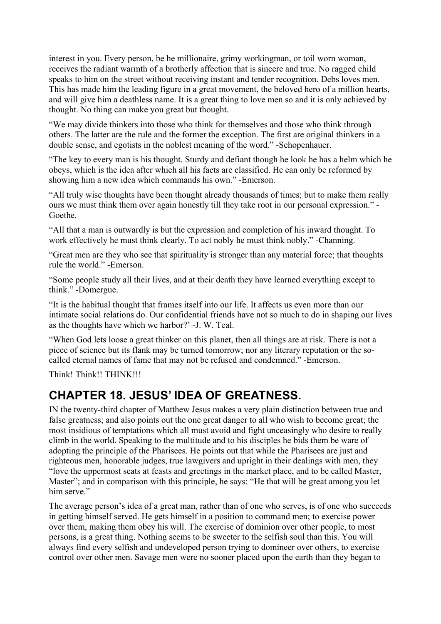interest in you. Every person, be he millionaire, grimy workingman, or toil worn woman, receives the radiant warmth of a brotherly affection that is sincere and true. No ragged child speaks to him on the street without receiving instant and tender recognition. Debs loves men. This has made him the leading figure in a great movement, the beloved hero of a million hearts, and will give him a deathless name. It is a great thing to love men so and it is only achieved by thought. No thing can make you great but thought.

"We may divide thinkers into those who think for themselves and those who think through others. The latter are the rule and the former the exception. The first are original thinkers in a double sense, and egotists in the noblest meaning of the word." -Sehopenhauer.

"The key to every man is his thought. Sturdy and defiant though he look he has a helm which he obeys, which is the idea after which all his facts are classified. He can only be reformed by showing him a new idea which commands his own." -Emerson.

"All truly wise thoughts have been thought already thousands of times; but to make them really ours we must think them over again honestly till they take root in our personal expression." - Goethe.

"All that a man is outwardly is but the expression and completion of his inward thought. To work effectively he must think clearly. To act nobly he must think nobly." -Channing.

"Great men are they who see that spirituality is stronger than any material force; that thoughts rule the world." -Emerson.

"Some people study all their lives, and at their death they have learned everything except to think." -Domergue.

"It is the habitual thought that frames itself into our life. It affects us even more than our intimate social relations do. Our confidential friends have not so much to do in shaping our lives as the thoughts have which we harbor?' -J. W. Teal.

"When God lets loose a great thinker on this planet, then all things are at risk. There is not a piece of science but its flank may be turned tomorrow; nor any literary reputation or the socalled eternal names of fame that may not be refused and condemned." -Emerson.

Think! Think!! THINK!!!

#### CHAPTER 18. JESUS' IDEA OF GREATNESS.

IN the twenty-third chapter of Matthew Jesus makes a very plain distinction between true and false greatness; and also points out the one great danger to all who wish to become great; the most insidious of temptations which all must avoid and fight unceasingly who desire to really climb in the world. Speaking to the multitude and to his disciples he bids them be ware of adopting the principle of the Pharisees. He points out that while the Pharisees are just and righteous men, honorable judges, true lawgivers and upright in their dealings with men, they "love the uppermost seats at feasts and greetings in the market place, and to be called Master, Master"; and in comparison with this principle, he says: "He that will be great among you let him serve."

The average person's idea of a great man, rather than of one who serves, is of one who succeeds in getting himself served. He gets himself in a position to command men; to exercise power over them, making them obey his will. The exercise of dominion over other people, to most persons, is a great thing. Nothing seems to be sweeter to the selfish soul than this. You will always find every selfish and undeveloped person trying to domineer over others, to exercise control over other men. Savage men were no sooner placed upon the earth than they began to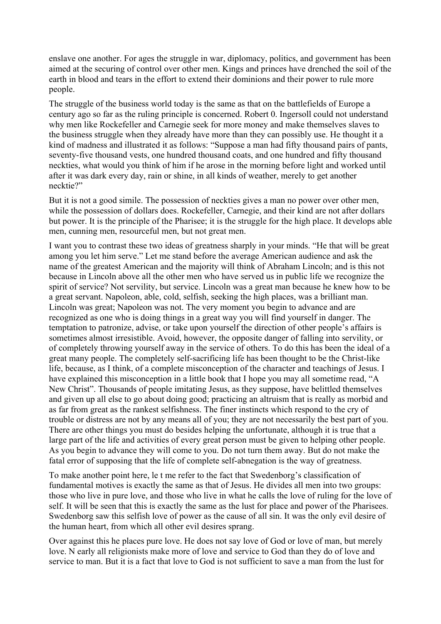enslave one another. For ages the struggle in war, diplomacy, politics, and government has been aimed at the securing of control over other men. Kings and princes have drenched the soil of the earth in blood and tears in the effort to extend their dominions and their power to rule more people.

The struggle of the business world today is the same as that on the battlefields of Europe a century ago so far as the ruling principle is concerned. Robert 0. Ingersoll could not understand why men like Rockefeller and Carnegie seek for more money and make themselves slaves to the business struggle when they already have more than they can possibly use. He thought it a kind of madness and illustrated it as follows: "Suppose a man had fifty thousand pairs of pants, seventy-five thousand vests, one hundred thousand coats, and one hundred and fifty thousand neckties, what would you think of him if he arose in the morning before light and worked until after it was dark every day, rain or shine, in all kinds of weather, merely to get another necktie?"

But it is not a good simile. The possession of neckties gives a man no power over other men, while the possession of dollars does. Rockefeller, Carnegie, and their kind are not after dollars but power. It is the principle of the Pharisee; it is the struggle for the high place. It develops able men, cunning men, resourceful men, but not great men.

I want you to contrast these two ideas of greatness sharply in your minds. "He that will be great among you let him serve." Let me stand before the average American audience and ask the name of the greatest American and the majority will think of Abraham Lincoln; and is this not because in Lincoln above all the other men who have served us in public life we recognize the spirit of service? Not servility, but service. Lincoln was a great man because he knew how to be a great servant. Napoleon, able, cold, selfish, seeking the high places, was a brilliant man. Lincoln was great; Napoleon was not. The very moment you begin to advance and are recognized as one who is doing things in a great way you will find yourself in danger. The temptation to patronize, advise, or take upon yourself the direction of other people's affairs is sometimes almost irresistible. Avoid, however, the opposite danger of falling into servility, or of completely throwing yourself away in the service of others. To do this has been the ideal of a great many people. The completely self-sacrificing life has been thought to be the Christ-like life, because, as I think, of a complete misconception of the character and teachings of Jesus. I have explained this misconception in a little book that I hope you may all sometime read, "A New Christ". Thousands of people imitating Jesus, as they suppose, have belittled themselves and given up all else to go about doing good; practicing an altruism that is really as morbid and as far from great as the rankest selfishness. The finer instincts which respond to the cry of trouble or distress are not by any means all of you; they are not necessarily the best part of you. There are other things you must do besides helping the unfortunate, although it is true that a large part of the life and activities of every great person must be given to helping other people. As you begin to advance they will come to you. Do not turn them away. But do not make the fatal error of supposing that the life of complete self-abnegation is the way of greatness.

To make another point here, le t me refer to the fact that Swedenborg's classification of fundamental motives is exactly the same as that of Jesus. He divides all men into two groups: those who live in pure love, and those who live in what he calls the love of ruling for the love of self. It will be seen that this is exactly the same as the lust for place and power of the Pharisees. Swedenborg saw this selfish love of power as the cause of all sin. It was the only evil desire of the human heart, from which all other evil desires sprang.

Over against this he places pure love. He does not say love of God or love of man, but merely love. N early all religionists make more of love and service to God than they do of love and service to man. But it is a fact that love to God is not sufficient to save a man from the lust for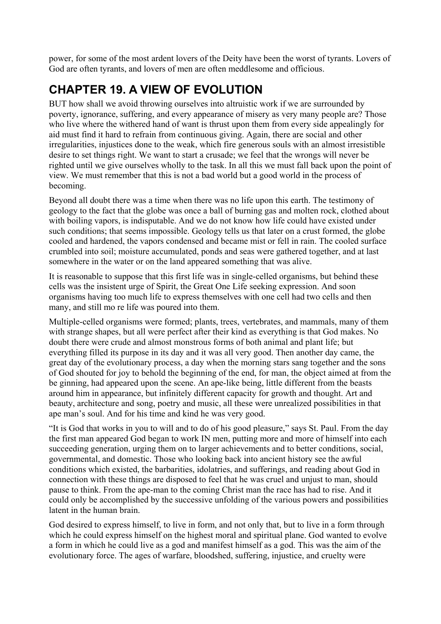power, for some of the most ardent lovers of the Deity have been the worst of tyrants. Lovers of God are often tyrants, and lovers of men are often meddlesome and officious.

### CHAPTER 19. A VIEW OF EVOLUTION

BUT how shall we avoid throwing ourselves into altruistic work if we are surrounded by poverty, ignorance, suffering, and every appearance of misery as very many people are? Those who live where the withered hand of want is thrust upon them from every side appealingly for aid must find it hard to refrain from continuous giving. Again, there are social and other irregularities, injustices done to the weak, which fire generous souls with an almost irresistible desire to set things right. We want to start a crusade; we feel that the wrongs will never be righted until we give ourselves wholly to the task. In all this we must fall back upon the point of view. We must remember that this is not a bad world but a good world in the process of becoming.

Beyond all doubt there was a time when there was no life upon this earth. The testimony of geology to the fact that the globe was once a ball of burning gas and molten rock, clothed about with boiling vapors, is indisputable. And we do not know how life could have existed under such conditions; that seems impossible. Geology tells us that later on a crust formed, the globe cooled and hardened, the vapors condensed and became mist or fell in rain. The cooled surface crumbled into soil; moisture accumulated, ponds and seas were gathered together, and at last somewhere in the water or on the land appeared something that was alive.

It is reasonable to suppose that this first life was in single-celled organisms, but behind these cells was the insistent urge of Spirit, the Great One Life seeking expression. And soon organisms having too much life to express themselves with one cell had two cells and then many, and still mo re life was poured into them.

Multiple-celled organisms were formed; plants, trees, vertebrates, and mammals, many of them with strange shapes, but all were perfect after their kind as everything is that God makes. No doubt there were crude and almost monstrous forms of both animal and plant life; but everything filled its purpose in its day and it was all very good. Then another day came, the great day of the evolutionary process, a day when the morning stars sang together and the sons of God shouted for joy to behold the beginning of the end, for man, the object aimed at from the be ginning, had appeared upon the scene. An ape-like being, little different from the beasts around him in appearance, but infinitely different capacity for growth and thought. Art and beauty, architecture and song, poetry and music, all these were unrealized possibilities in that ape man's soul. And for his time and kind he was very good.

"It is God that works in you to will and to do of his good pleasure," says St. Paul. From the day the first man appeared God began to work IN men, putting more and more of himself into each succeeding generation, urging them on to larger achievements and to better conditions, social, governmental, and domestic. Those who looking back into ancient history see the awful conditions which existed, the barbarities, idolatries, and sufferings, and reading about God in connection with these things are disposed to feel that he was cruel and unjust to man, should pause to think. From the ape-man to the coming Christ man the race has had to rise. And it could only be accomplished by the successive unfolding of the various powers and possibilities latent in the human brain.

God desired to express himself, to live in form, and not only that, but to live in a form through which he could express himself on the highest moral and spiritual plane. God wanted to evolve a form in which he could live as a god and manifest himself as a god. This was the aim of the evolutionary force. The ages of warfare, bloodshed, suffering, injustice, and cruelty were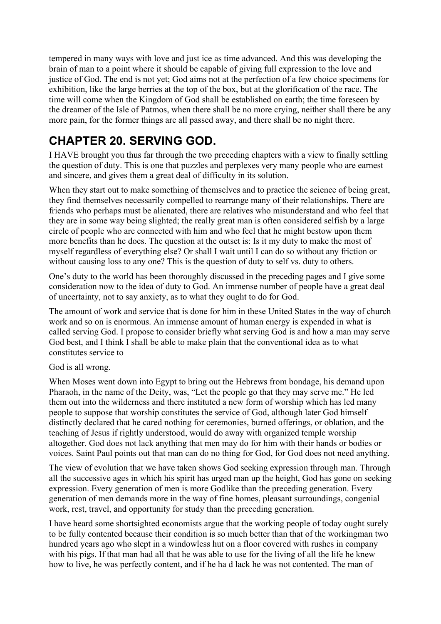tempered in many ways with love and just ice as time advanced. And this was developing the brain of man to a point where it should be capable of giving full expression to the love and justice of God. The end is not yet; God aims not at the perfection of a few choice specimens for exhibition, like the large berries at the top of the box, but at the glorification of the race. The time will come when the Kingdom of God shall be established on earth; the time foreseen by the dreamer of the Isle of Patmos, when there shall be no more crying, neither shall there be any more pain, for the former things are all passed away, and there shall be no night there.

### CHAPTER 20. SERVING GOD.

I HAVE brought you thus far through the two preceding chapters with a view to finally settling the question of duty. This is one that puzzles and perplexes very many people who are earnest and sincere, and gives them a great deal of difficulty in its solution.

When they start out to make something of themselves and to practice the science of being great, they find themselves necessarily compelled to rearrange many of their relationships. There are friends who perhaps must be alienated, there are relatives who misunderstand and who feel that they are in some way being slighted; the really great man is often considered selfish by a large circle of people who are connected with him and who feel that he might bestow upon them more benefits than he does. The question at the outset is: Is it my duty to make the most of myself regardless of everything else? Or shall I wait until I can do so without any friction or without causing loss to any one? This is the question of duty to self vs. duty to others.

One's duty to the world has been thoroughly discussed in the preceding pages and I give some consideration now to the idea of duty to God. An immense number of people have a great deal of uncertainty, not to say anxiety, as to what they ought to do for God.

The amount of work and service that is done for him in these United States in the way of church work and so on is enormous. An immense amount of human energy is expended in what is called serving God. I propose to consider briefly what serving God is and how a man may serve God best, and I think I shall be able to make plain that the conventional idea as to what constitutes service to

#### God is all wrong.

When Moses went down into Egypt to bring out the Hebrews from bondage, his demand upon Pharaoh, in the name of the Deity, was, "Let the people go that they may serve me." He led them out into the wilderness and there instituted a new form of worship which has led many people to suppose that worship constitutes the service of God, although later God himself distinctly declared that he cared nothing for ceremonies, burned offerings, or oblation, and the teaching of Jesus if rightly understood, would do away with organized temple worship altogether. God does not lack anything that men may do for him with their hands or bodies or voices. Saint Paul points out that man can do no thing for God, for God does not need anything.

The view of evolution that we have taken shows God seeking expression through man. Through all the successive ages in which his spirit has urged man up the height, God has gone on seeking expression. Every generation of men is more Godlike than the preceding generation. Every generation of men demands more in the way of fine homes, pleasant surroundings, congenial work, rest, travel, and opportunity for study than the preceding generation.

I have heard some shortsighted economists argue that the working people of today ought surely to be fully contented because their condition is so much better than that of the workingman two hundred years ago who slept in a windowless hut on a floor covered with rushes in company with his pigs. If that man had all that he was able to use for the living of all the life he knew how to live, he was perfectly content, and if he ha d lack he was not contented. The man of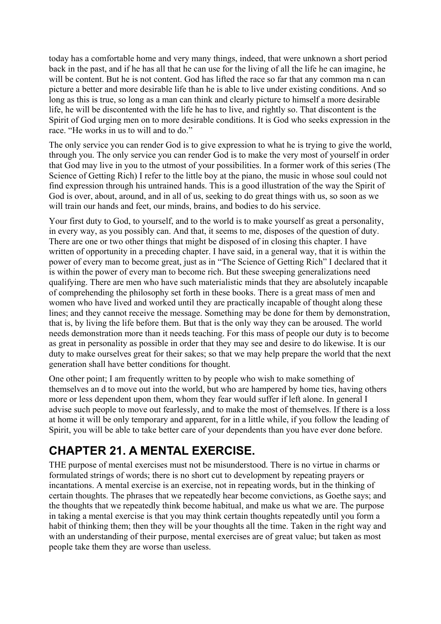today has a comfortable home and very many things, indeed, that were unknown a short period back in the past, and if he has all that he can use for the living of all the life he can imagine, he will be content. But he is not content. God has lifted the race so far that any common ma n can picture a better and more desirable life than he is able to live under existing conditions. And so long as this is true, so long as a man can think and clearly picture to himself a more desirable life, he will be discontented with the life he has to live, and rightly so. That discontent is the Spirit of God urging men on to more desirable conditions. It is God who seeks expression in the race. "He works in us to will and to do."

The only service you can render God is to give expression to what he is trying to give the world, through you. The only service you can render God is to make the very most of yourself in order that God may live in you to the utmost of your possibilities. In a former work of this series (The Science of Getting Rich) I refer to the little boy at the piano, the music in whose soul could not find expression through his untrained hands. This is a good illustration of the way the Spirit of God is over, about, around, and in all of us, seeking to do great things with us, so soon as we will train our hands and feet, our minds, brains, and bodies to do his service.

Your first duty to God, to yourself, and to the world is to make yourself as great a personality, in every way, as you possibly can. And that, it seems to me, disposes of the question of duty. There are one or two other things that might be disposed of in closing this chapter. I have written of opportunity in a preceding chapter. I have said, in a general way, that it is within the power of every man to become great, just as in "The Science of Getting Rich" I declared that it is within the power of every man to become rich. But these sweeping generalizations need qualifying. There are men who have such materialistic minds that they are absolutely incapable of comprehending the philosophy set forth in these books. There is a great mass of men and women who have lived and worked until they are practically incapable of thought along these lines; and they cannot receive the message. Something may be done for them by demonstration, that is, by living the life before them. But that is the only way they can be aroused. The world needs demonstration more than it needs teaching. For this mass of people our duty is to become as great in personality as possible in order that they may see and desire to do likewise. It is our duty to make ourselves great for their sakes; so that we may help prepare the world that the next generation shall have better conditions for thought.

One other point; I am frequently written to by people who wish to make something of themselves an d to move out into the world, but who are hampered by home ties, having others more or less dependent upon them, whom they fear would suffer if left alone. In general I advise such people to move out fearlessly, and to make the most of themselves. If there is a loss at home it will be only temporary and apparent, for in a little while, if you follow the leading of Spirit, you will be able to take better care of your dependents than you have ever done before.

#### CHAPTER 21. A MENTAL EXERCISE.

THE purpose of mental exercises must not be misunderstood. There is no virtue in charms or formulated strings of words; there is no short cut to development by repeating prayers or incantations. A mental exercise is an exercise, not in repeating words, but in the thinking of certain thoughts. The phrases that we repeatedly hear become convictions, as Goethe says; and the thoughts that we repeatedly think become habitual, and make us what we are. The purpose in taking a mental exercise is that you may think certain thoughts repeatedly until you form a habit of thinking them; then they will be your thoughts all the time. Taken in the right way and with an understanding of their purpose, mental exercises are of great value; but taken as most people take them they are worse than useless.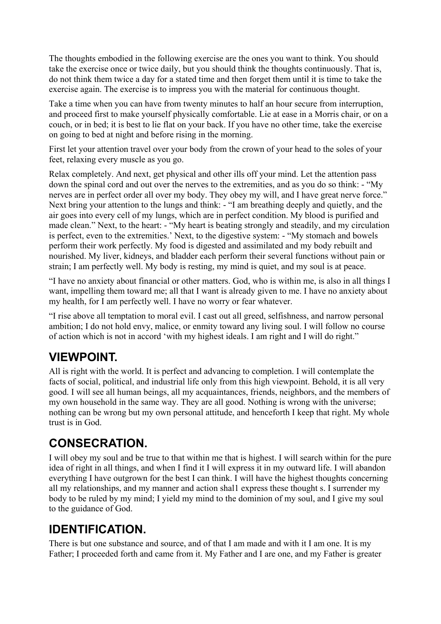The thoughts embodied in the following exercise are the ones you want to think. You should take the exercise once or twice daily, but you should think the thoughts continuously. That is, do not think them twice a day for a stated time and then forget them until it is time to take the exercise again. The exercise is to impress you with the material for continuous thought.

Take a time when you can have from twenty minutes to half an hour secure from interruption, and proceed first to make yourself physically comfortable. Lie at ease in a Morris chair, or on a couch, or in bed; it is best to lie flat on your back. If you have no other time, take the exercise on going to bed at night and before rising in the morning.

First let your attention travel over your body from the crown of your head to the soles of your feet, relaxing every muscle as you go.

Relax completely. And next, get physical and other ills off your mind. Let the attention pass down the spinal cord and out over the nerves to the extremities, and as you do so think: - "My nerves are in perfect order all over my body. They obey my will, and I have great nerve force." Next bring your attention to the lungs and think: - "I am breathing deeply and quietly, and the air goes into every cell of my lungs, which are in perfect condition. My blood is purified and made clean." Next, to the heart: - "My heart is beating strongly and steadily, and my circulation is perfect, even to the extremities.' Next, to the digestive system: - "My stomach and bowels perform their work perfectly. My food is digested and assimilated and my body rebuilt and nourished. My liver, kidneys, and bladder each perform their several functions without pain or strain; I am perfectly well. My body is resting, my mind is quiet, and my soul is at peace.

"I have no anxiety about financial or other matters. God, who is within me, is also in all things I want, impelling them toward me; all that I want is already given to me. I have no anxiety about my health, for I am perfectly well. I have no worry or fear whatever.

"I rise above all temptation to moral evil. I cast out all greed, selfishness, and narrow personal ambition; I do not hold envy, malice, or enmity toward any living soul. I will follow no course of action which is not in accord 'with my highest ideals. I am right and I will do right."

#### VIEWPOINT.

All is right with the world. It is perfect and advancing to completion. I will contemplate the facts of social, political, and industrial life only from this high viewpoint. Behold, it is all very good. I will see all human beings, all my acquaintances, friends, neighbors, and the members of my own household in the same way. They are all good. Nothing is wrong with the universe; nothing can be wrong but my own personal attitude, and henceforth I keep that right. My whole trust is in God.

#### CONSECRATION.

I will obey my soul and be true to that within me that is highest. I will search within for the pure idea of right in all things, and when I find it I will express it in my outward life. I will abandon everything I have outgrown for the best I can think. I will have the highest thoughts concerning all my relationships, and my manner and action shal1 express these thought s. I surrender my body to be ruled by my mind; I yield my mind to the dominion of my soul, and I give my soul to the guidance of God.

#### IDENTIFICATION.

There is but one substance and source, and of that I am made and with it I am one. It is my Father; I proceeded forth and came from it. My Father and I are one, and my Father is greater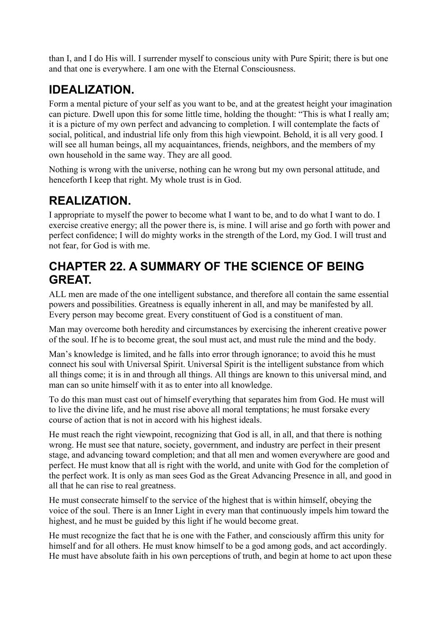than I, and I do His will. I surrender myself to conscious unity with Pure Spirit; there is but one and that one is everywhere. I am one with the Eternal Consciousness.

## IDEALIZATION.

Form a mental picture of your self as you want to be, and at the greatest height your imagination can picture. Dwell upon this for some little time, holding the thought: "This is what I really am; it is a picture of my own perfect and advancing to completion. I will contemplate the facts of social, political, and industrial life only from this high viewpoint. Behold, it is all very good. I will see all human beings, all my acquaintances, friends, neighbors, and the members of my own household in the same way. They are all good.

Nothing is wrong with the universe, nothing can he wrong but my own personal attitude, and henceforth I keep that right. My whole trust is in God.

### REALIZATION.

I appropriate to myself the power to become what I want to be, and to do what I want to do. I exercise creative energy; all the power there is, is mine. I will arise and go forth with power and perfect confidence; I will do mighty works in the strength of the Lord, my God. I will trust and not fear, for God is with me.

#### CHAPTER 22. A SUMMARY OF THE SCIENCE OF BEING GREAT.

ALL men are made of the one intelligent substance, and therefore all contain the same essential powers and possibilities. Greatness is equally inherent in all, and may be manifested by all. Every person may become great. Every constituent of God is a constituent of man.

Man may overcome both heredity and circumstances by exercising the inherent creative power of the soul. If he is to become great, the soul must act, and must rule the mind and the body.

Man's knowledge is limited, and he falls into error through ignorance; to avoid this he must connect his soul with Universal Spirit. Universal Spirit is the intelligent substance from which all things come; it is in and through all things. All things are known to this universal mind, and man can so unite himself with it as to enter into all knowledge.

To do this man must cast out of himself everything that separates him from God. He must will to live the divine life, and he must rise above all moral temptations; he must forsake every course of action that is not in accord with his highest ideals.

He must reach the right viewpoint, recognizing that God is all, in all, and that there is nothing wrong. He must see that nature, society, government, and industry are perfect in their present stage, and advancing toward completion; and that all men and women everywhere are good and perfect. He must know that all is right with the world, and unite with God for the completion of the perfect work. It is only as man sees God as the Great Advancing Presence in all, and good in all that he can rise to real greatness.

He must consecrate himself to the service of the highest that is within himself, obeying the voice of the soul. There is an Inner Light in every man that continuously impels him toward the highest, and he must be guided by this light if he would become great.

He must recognize the fact that he is one with the Father, and consciously affirm this unity for himself and for all others. He must know himself to be a god among gods, and act accordingly. He must have absolute faith in his own perceptions of truth, and begin at home to act upon these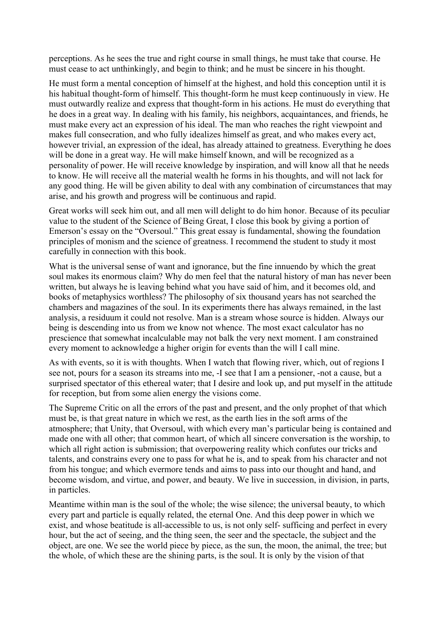perceptions. As he sees the true and right course in small things, he must take that course. He must cease to act unthinkingly, and begin to think; and he must be sincere in his thought.

He must form a mental conception of himself at the highest, and hold this conception until it is his habitual thought-form of himself. This thought-form he must keep continuously in view. He must outwardly realize and express that thought-form in his actions. He must do everything that he does in a great way. In dealing with his family, his neighbors, acquaintances, and friends, he must make every act an expression of his ideal. The man who reaches the right viewpoint and makes full consecration, and who fully idealizes himself as great, and who makes every act, however trivial, an expression of the ideal, has already attained to greatness. Everything he does will be done in a great way. He will make himself known, and will be recognized as a personality of power. He will receive knowledge by inspiration, and will know all that he needs to know. He will receive all the material wealth he forms in his thoughts, and will not lack for any good thing. He will be given ability to deal with any combination of circumstances that may arise, and his growth and progress will be continuous and rapid.

Great works will seek him out, and all men will delight to do him honor. Because of its peculiar value to the student of the Science of Being Great, I close this book by giving a portion of Emerson's essay on the "Oversoul." This great essay is fundamental, showing the foundation principles of monism and the science of greatness. I recommend the student to study it most carefully in connection with this book.

What is the universal sense of want and ignorance, but the fine innuendo by which the great soul makes its enormous claim? Why do men feel that the natural history of man has never been written, but always he is leaving behind what you have said of him, and it becomes old, and books of metaphysics worthless? The philosophy of six thousand years has not searched the chambers and magazines of the soul. In its experiments there has always remained, in the last analysis, a residuum it could not resolve. Man is a stream whose source is hidden. Always our being is descending into us from we know not whence. The most exact calculator has no prescience that somewhat incalculable may not balk the very next moment. I am constrained every moment to acknowledge a higher origin for events than the will I call mine.

As with events, so it is with thoughts. When I watch that flowing river, which, out of regions I see not, pours for a season its streams into me, -I see that I am a pensioner, -not a cause, but a surprised spectator of this ethereal water; that I desire and look up, and put myself in the attitude for reception, but from some alien energy the visions come.

The Supreme Critic on all the errors of the past and present, and the only prophet of that which must be, is that great nature in which we rest, as the earth lies in the soft arms of the atmosphere; that Unity, that Oversoul, with which every man's particular being is contained and made one with all other; that common heart, of which all sincere conversation is the worship, to which all right action is submission; that overpowering reality which confutes our tricks and talents, and constrains every one to pass for what he is, and to speak from his character and not from his tongue; and which evermore tends and aims to pass into our thought and hand, and become wisdom, and virtue, and power, and beauty. We live in succession, in division, in parts, in particles.

Meantime within man is the soul of the whole; the wise silence; the universal beauty, to which every part and particle is equally related, the eternal One. And this deep power in which we exist, and whose beatitude is all-accessible to us, is not only self- sufficing and perfect in every hour, but the act of seeing, and the thing seen, the seer and the spectacle, the subject and the object, are one. We see the world piece by piece, as the sun, the moon, the animal, the tree; but the whole, of which these are the shining parts, is the soul. It is only by the vision of that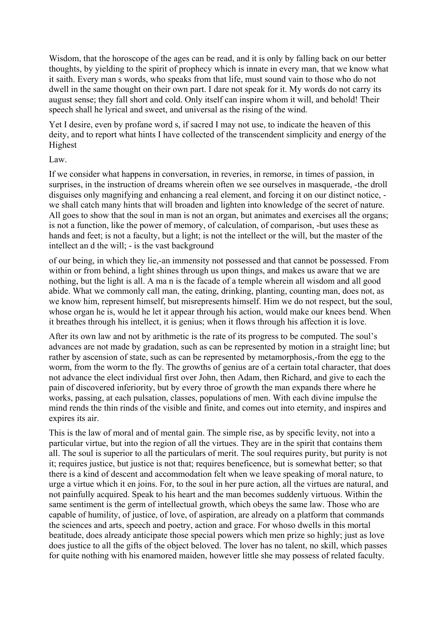Wisdom, that the horoscope of the ages can be read, and it is only by falling back on our better thoughts, by yielding to the spirit of prophecy which is innate in every man, that we know what it saith. Every man s words, who speaks from that life, must sound vain to those who do not dwell in the same thought on their own part. I dare not speak for it. My words do not carry its august sense; they fall short and cold. Only itself can inspire whom it will, and behold! Their speech shall he lyrical and sweet, and universal as the rising of the wind.

Yet I desire, even by profane word s, if sacred I may not use, to indicate the heaven of this deity, and to report what hints I have collected of the transcendent simplicity and energy of the Highest

Law.

If we consider what happens in conversation, in reveries, in remorse, in times of passion, in surprises, in the instruction of dreams wherein often we see ourselves in masquerade, -the droll disguises only magnifying and enhancing a real element, and forcing it on our distinct notice, we shall catch many hints that will broaden and lighten into knowledge of the secret of nature. All goes to show that the soul in man is not an organ, but animates and exercises all the organs; is not a function, like the power of memory, of calculation, of comparison, -but uses these as hands and feet; is not a faculty, but a light; is not the intellect or the will, but the master of the intellect an d the will; - is the vast background

of our being, in which they lie,-an immensity not possessed and that cannot be possessed. From within or from behind, a light shines through us upon things, and makes us aware that we are nothing, but the light is all. A ma n is the facade of a temple wherein all wisdom and all good abide. What we commonly call man, the eating, drinking, planting, counting man, does not, as we know him, represent himself, but misrepresents himself. Him we do not respect, but the soul, whose organ he is, would he let it appear through his action, would make our knees bend. When it breathes through his intellect, it is genius; when it flows through his affection it is love.

After its own law and not by arithmetic is the rate of its progress to be computed. The soul's advances are not made by gradation, such as can be represented by motion in a straight line; but rather by ascension of state, such as can be represented by metamorphosis,-from the egg to the worm, from the worm to the fly. The growths of genius are of a certain total character, that does not advance the elect individual first over John, then Adam, then Richard, and give to each the pain of discovered inferiority, but by every throe of growth the man expands there where he works, passing, at each pulsation, classes, populations of men. With each divine impulse the mind rends the thin rinds of the visible and finite, and comes out into eternity, and inspires and expires its air.

This is the law of moral and of mental gain. The simple rise, as by specific levity, not into a particular virtue, but into the region of all the virtues. They are in the spirit that contains them all. The soul is superior to all the particulars of merit. The soul requires purity, but purity is not it; requires justice, but justice is not that; requires beneficence, but is somewhat better; so that there is a kind of descent and accommodation felt when we leave speaking of moral nature, to urge a virtue which it en joins. For, to the soul in her pure action, all the virtues are natural, and not painfully acquired. Speak to his heart and the man becomes suddenly virtuous. Within the same sentiment is the germ of intellectual growth, which obeys the same law. Those who are capable of humility, of justice, of love, of aspiration, are already on a platform that commands the sciences and arts, speech and poetry, action and grace. For whoso dwells in this mortal beatitude, does already anticipate those special powers which men prize so highly; just as love does justice to all the gifts of the object beloved. The lover has no talent, no skill, which passes for quite nothing with his enamored maiden, however little she may possess of related faculty.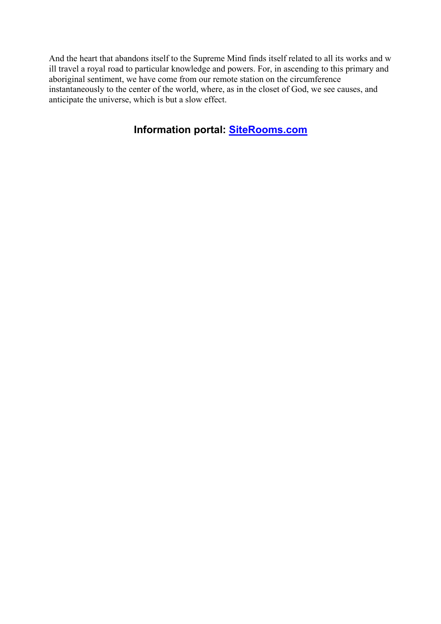And the heart that abandons itself to the Supreme Mind finds itself related to all its works and w ill travel a royal road to particular knowledge and powers. For, in ascending to this primary and aboriginal sentiment, we have come from our remote station on the circumference instantaneously to the center of the world, where, as in the closet of God, we see causes, and anticipate the universe, which is but a slow effect.

#### Information portal[: SiteRooms.com](http://siterooms.com/?the-science-of-being-great)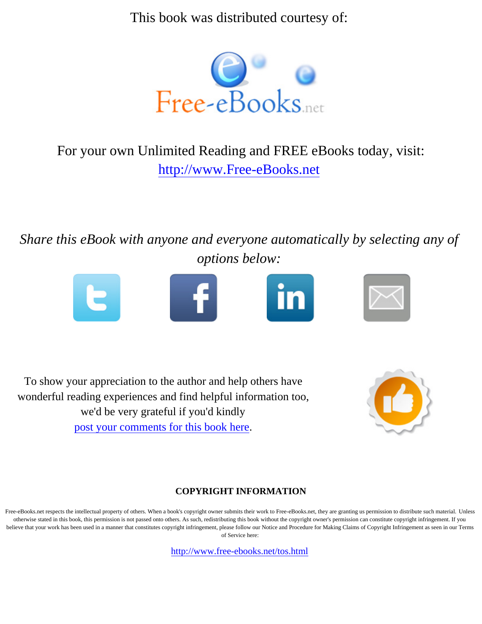This book was distributed courtesy of:



# For your own Unlimited Reading and FREE eBooks today, visit: [http://www.Free-eBooks.net](http://www.free-ebooks.net/)

*Share this eBook with anyone and everyone automatically by selecting any of options below:*



To show your appreciation to the author and help others have wonderful reading experiences and find helpful information too, we'd be very grateful if you'd kindly [post your comments for this book here.](http://www.free-ebooks.net/ebook/The-Science-Of-Being-Great/review)



#### **COPYRIGHT INFORMATION**

Free-eBooks.net respects the intellectual property of others. When a book's copyright owner submits their work to Free-eBooks.net, they are granting us permission to distribute such material. Unless otherwise stated in this book, this permission is not passed onto others. As such, redistributing this book without the copyright owner's permission can constitute copyright infringement. If you believe that your work has been used in a manner that constitutes copyright infringement, please follow our Notice and Procedure for Making Claims of Copyright Infringement as seen in our Terms of Service here:

<http://www.free-ebooks.net/tos.html>